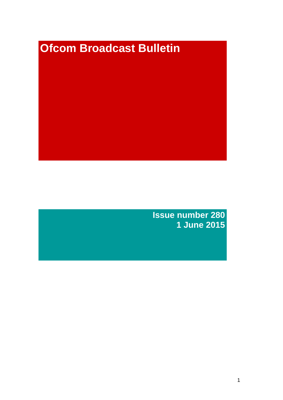# **Ofcom Broadcast Bulletin**

**Issue number 280 1 June 2015**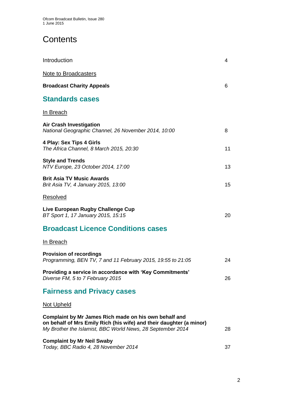# **Contents**

| Introduction                                                                                                                                                                               | 4  |
|--------------------------------------------------------------------------------------------------------------------------------------------------------------------------------------------|----|
| <b>Note to Broadcasters</b>                                                                                                                                                                |    |
| <b>Broadcast Charity Appeals</b>                                                                                                                                                           | 6  |
| <b>Standards cases</b>                                                                                                                                                                     |    |
| In Breach                                                                                                                                                                                  |    |
| <b>Air Crash Investigation</b><br>National Geographic Channel, 26 November 2014, 10:00                                                                                                     | 8  |
| 4 Play: Sex Tips 4 Girls<br>The Africa Channel, 8 March 2015, 20:30                                                                                                                        | 11 |
| <b>Style and Trends</b><br>NTV Europe, 23 October 2014, 17:00                                                                                                                              | 13 |
| <b>Brit Asia TV Music Awards</b><br>Brit Asia TV, 4 January 2015, 13:00                                                                                                                    | 15 |
| Resolved                                                                                                                                                                                   |    |
| Live European Rugby Challenge Cup<br>BT Sport 1, 17 January 2015, 15:15                                                                                                                    | 20 |
| <b>Broadcast Licence Conditions cases</b>                                                                                                                                                  |    |
| In Breach                                                                                                                                                                                  |    |
| <b>Provision of recordings</b><br>Programming, BEN TV, 7 and 11 February 2015, 19:55 to 21:05                                                                                              | 24 |
| Providing a service in accordance with 'Key Commitments'<br>Diverse FM, 5 to 7 February 2015                                                                                               | 26 |
| <b>Fairness and Privacy cases</b>                                                                                                                                                          |    |
| <b>Not Upheld</b>                                                                                                                                                                          |    |
| Complaint by Mr James Rich made on his own behalf and<br>on behalf of Mrs Emily Rich (his wife) and their daughter (a minor)<br>My Brother the Islamist, BBC World News, 28 September 2014 | 28 |
| <b>Complaint by Mr Neil Swaby</b><br>Today, BBC Radio 4, 28 November 2014                                                                                                                  | 37 |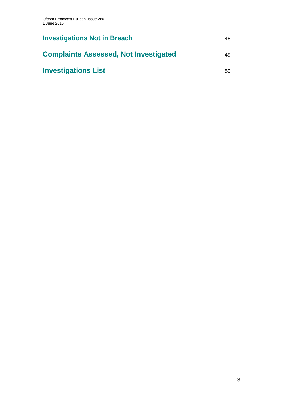| <b>Investigations Not in Breach</b>          | 48 |
|----------------------------------------------|----|
| <b>Complaints Assessed, Not Investigated</b> | 49 |
| <b>Investigations List</b>                   | 59 |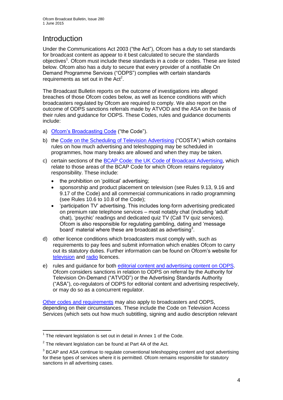# **Introduction**

Under the Communications Act 2003 ("the Act"), Ofcom has a duty to set standards for broadcast content as appear to it best calculated to secure the standards objectives<sup>1</sup>. Ofcom must include these standards in a code or codes. These are listed below. Ofcom also has a duty to secure that every provider of a notifiable On Demand Programme Services ("ODPS") complies with certain standards requirements as set out in the  $Act<sup>2</sup>$ .

The Broadcast Bulletin reports on the outcome of investigations into alleged breaches of those Ofcom codes below, as well as licence conditions with which broadcasters regulated by Ofcom are required to comply. We also report on the outcome of ODPS sanctions referrals made by ATVOD and the ASA on the basis of their rules and guidance for ODPS. These Codes, rules and guidance documents include:

- a) [Ofcom's Broadcasting Code](http://stakeholders.ofcom.org.uk/broadcasting/broadcast-codes/broadcast-code/) ("the Code").
- b) the [Code on the Scheduling of Television Advertising](http://stakeholders.ofcom.org.uk/broadcasting/broadcast-codes/advert-code/) ("COSTA") which contains rules on how much advertising and teleshopping may be scheduled in programmes, how many breaks are allowed and when they may be taken.
- c) certain sections of the [BCAP Code: the UK Code of Broadcast Advertising,](http://www.bcap.org.uk/Advertising-Codes/Broadcast-HTML.aspx) which relate to those areas of the BCAP Code for which Ofcom retains regulatory responsibility. These include:
	- the prohibition on 'political' advertising;
	- sponsorship and product placement on television (see Rules 9.13, 9.16 and 9.17 of the Code) and all commercial communications in radio programming (see Rules 10.6 to 10.8 of the Code);
	- 'participation TV' advertising. This includes long-form advertising predicated on premium rate telephone services – most notably chat (including 'adult' chat), 'psychic' readings and dedicated quiz TV (Call TV quiz services). Ofcom is also responsible for regulating gambling, dating and 'message board' material where these are broadcast as advertising<sup>3</sup>.
- d) other licence conditions which broadcasters must comply with, such as requirements to pay fees and submit information which enables Ofcom to carry out its statutory duties. Further information can be found on Ofcom's website for [television](http://licensing.ofcom.org.uk/tv-broadcast-licences/) and [radio](http://licensing.ofcom.org.uk/radio-broadcast-licensing/) licences.
- e) rules and guidance for both [editorial content and advertising content on ODPS.](http://www.atvod.co.uk/uploads/files/ATVOD_Rules_and_Guidance_Ed_2.0_May_2012.pdf) Ofcom considers sanctions in relation to ODPS on referral by the Authority for Television On-Demand ("ATVOD") or the Advertising Standards Authority ("ASA"), co-regulators of ODPS for editorial content and advertising respectively, or may do so as a concurrent regulator.

[Other codes and requirements](http://stakeholders.ofcom.org.uk/broadcasting/broadcast-codes/) may also apply to broadcasters and ODPS, depending on their circumstances. These include the Code on Television Access Services (which sets out how much subtitling, signing and audio description relevant

<sup>1</sup>  $1$  The relevant legislation is set out in detail in Annex 1 of the Code.

 $2$  The relevant legislation can be found at Part 4A of the Act.

 $3$  BCAP and ASA continue to regulate conventional teleshopping content and spot advertising for these types of services where it is permitted. Ofcom remains responsible for statutory sanctions in all advertising cases.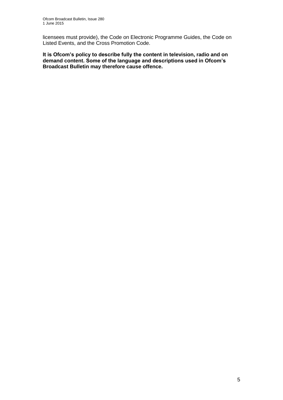licensees must provide), the Code on Electronic Programme Guides, the Code on Listed Events, and the Cross Promotion Code.

**It is Ofcom's policy to describe fully the content in television, radio and on demand content. Some of the language and descriptions used in Ofcom's Broadcast Bulletin may therefore cause offence.**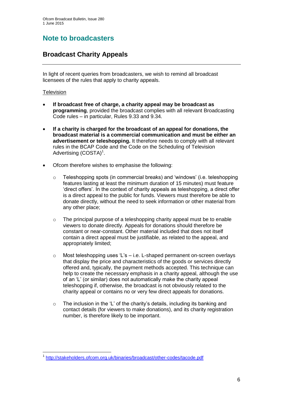# **Note to broadcasters**

# **Broadcast Charity Appeals**

In light of recent queries from broadcasters, we wish to remind all broadcast licensees of the rules that apply to charity appeals.

## **Television**

1

- **If broadcast free of charge, a charity appeal may be broadcast as programming**, provided the broadcast complies with all relevant Broadcasting Code rules – in particular, Rules 9.33 and 9.34.
- **If a charity is charged for the broadcast of an appeal for donations, the broadcast material is a commercial communication and must be either an advertisement or teleshopping.** It therefore needs to comply with all relevant rules in the BCAP Code and the Code on the Scheduling of Television Advertising (COSTA)<sup>1</sup>.
- Ofcom therefore wishes to emphasise the following:
	- $\circ$  Teleshopping spots (in commercial breaks) and 'windows' (i.e. teleshopping features lasting at least the minimum duration of 15 minutes) must feature 'direct offers'. In the context of charity appeals as teleshopping, a direct offer is a direct appeal to the public for funds. Viewers must therefore be able to donate directly, without the need to seek information or other material from any other place;
	- $\circ$  The principal purpose of a teleshopping charity appeal must be to enable viewers to donate directly. Appeals for donations should therefore be constant or near-constant. Other material included that does not itself contain a direct appeal must be justifiable, as related to the appeal, and appropriately limited;
	- o Most teleshopping uses 'L's i.e. L-shaped permanent on-screen overlays that display the price and characteristics of the goods or services directly offered and, typically, the payment methods accepted. This technique can help to create the necessary emphasis in a charity appeal, although the use of an 'L' (or similar) does not automatically make the charity appeal teleshopping if, otherwise, the broadcast is not obviously related to the charity appeal or contains no or very few direct appeals for donations.
	- o The inclusion in the 'L' of the charity's details, including its banking and contact details (for viewers to make donations), and its charity registration number, is therefore likely to be important.

<sup>1</sup> <http://stakeholders.ofcom.org.uk/binaries/broadcast/other-codes/tacode.pdf>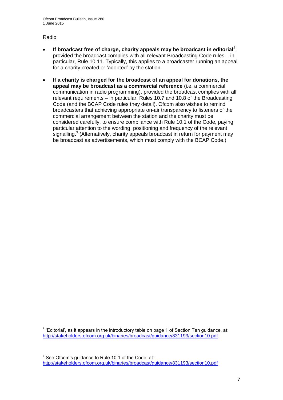## Radio

- If broadcast free of charge, charity appeals may be broadcast in editorial<sup>2</sup>, provided the broadcast complies with all relevant Broadcasting Code rules – in particular, Rule 10.11. Typically, this applies to a broadcaster running an appeal for a charity created or 'adopted' by the station.
- **If a charity is charged for the broadcast of an appeal for donations, the appeal may be broadcast as a commercial reference** (i.e. a commercial communication in radio programming), provided the broadcast complies with all relevant requirements – in particular, Rules 10.7 and 10.8 of the Broadcasting Code (and the BCAP Code rules they detail). Ofcom also wishes to remind broadcasters that achieving appropriate on-air transparency to listeners of the commercial arrangement between the station and the charity must be considered carefully, to ensure compliance with Rule 10.1 of the Code, paying particular attention to the wording, positioning and frequency of the relevant signalling.<sup>3</sup> (Alternatively, charity appeals broadcast in return for payment may be broadcast as advertisements, which must comply with the BCAP Code.)

 $3$  See Ofcom's guidance to Rule 10.1 of the Code, at: <http://stakeholders.ofcom.org.uk/binaries/broadcast/guidance/831193/section10.pdf>

 2 'Editorial', as it appears in the introductory table on page 1 of Section Ten guidance, at: <http://stakeholders.ofcom.org.uk/binaries/broadcast/guidance/831193/section10.pdf>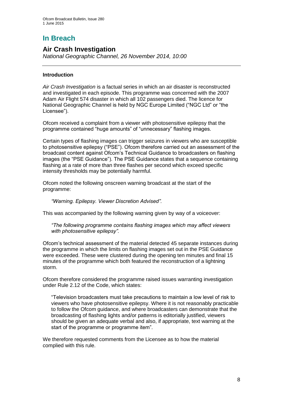# **In Breach**

# **Air Crash Investigation**

*National Geographic Channel, 26 November 2014, 10:00*

# **Introduction**

*Air Crash Investigation* is a factual series in which an air disaster is reconstructed and investigated in each episode. This programme was concerned with the 2007 Adam Air Flight 574 disaster in which all 102 passengers died. The licence for National Geographic Channel is held by NGC Europe Limited ("NGC Ltd" or "the Licensee").

Ofcom received a complaint from a viewer with photosensitive epilepsy that the programme contained "huge amounts" of "unnecessary" flashing images.

Certain types of flashing images can trigger seizures in viewers who are susceptible to photosensitive epilepsy ("PSE"). Ofcom therefore carried out an assessment of the broadcast content against Ofcom's Technical Guidance to broadcasters on flashing images (the "PSE Guidance"). The PSE Guidance states that a sequence containing flashing at a rate of more than three flashes per second which exceed specific intensity thresholds may be potentially harmful.

Ofcom noted the following onscreen warning broadcast at the start of the programme:

*"Warning. Epilepsy. Viewer Discretion Advised".*

This was accompanied by the following warning given by way of a voiceover:

*"The following programme contains flashing images which may affect viewers with photosensitive epilepsy".*

Ofcom's technical assessment of the material detected 45 separate instances during the programme in which the limits on flashing images set out in the PSE Guidance were exceeded. These were clustered during the opening ten minutes and final 15 minutes of the programme which both featured the reconstruction of a lightning storm.

Ofcom therefore considered the programme raised issues warranting investigation under Rule 2.12 of the Code, which states:

"Television broadcasters must take precautions to maintain a low level of risk to viewers who have photosensitive epilepsy. Where it is not reasonably practicable to follow the Ofcom guidance, and where broadcasters can demonstrate that the broadcasting of flashing lights and/or patterns is editorially justified, viewers should be given an adequate verbal and also, if appropriate, text warning at the start of the programme or programme item".

We therefore requested comments from the Licensee as to how the material complied with this rule.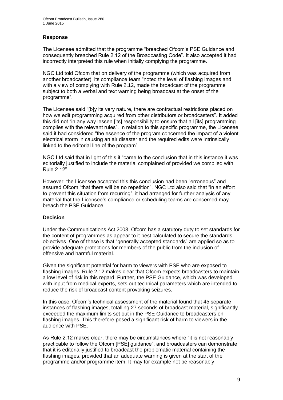# **Response**

The Licensee admitted that the programme "breached Ofcom's PSE Guidance and consequently breached Rule 2.12 of the Broadcasting Code". It also accepted it had incorrectly interpreted this rule when initially complying the programme.

NGC Ltd told Ofcom that on delivery of the programme (which was acquired from another broadcaster), its compliance team "noted the level of flashing images and, with a view of complying with Rule 2.12, made the broadcast of the programme subject to both a verbal and text warning being broadcast at the onset of the programme".

The Licensee said "[b]y its very nature, there are contractual restrictions placed on how we edit programming acquired from other distributors or broadcasters". It added this did not "in any way lessen [its] responsibility to ensure that all [its] programming complies with the relevant rules". In relation to this specific programme, the Licensee said it had considered "the essence of the program concerned the impact of a violent electrical storm in causing an air disaster and the required edits were intrinsically linked to the editorial line of the program".

NGC Ltd said that in light of this it "came to the conclusion that in this instance it was editorially justified to include the material complained of provided we complied with Rule 2.12".

However, the Licensee accepted this this conclusion had been "erroneous" and assured Ofcom "that there will be no repetition". NGC Ltd also said that "in an effort to prevent this situation from recurring", it had arranged for further analysis of any material that the Licensee's compliance or scheduling teams are concerned may breach the PSE Guidance.

## **Decision**

Under the Communications Act 2003, Ofcom has a statutory duty to set standards for the content of programmes as appear to it best calculated to secure the standards objectives. One of these is that "generally accepted standards" are applied so as to provide adequate protections for members of the public from the inclusion of offensive and harmful material.

Given the significant potential for harm to viewers with PSE who are exposed to flashing images, Rule 2.12 makes clear that Ofcom expects broadcasters to maintain a low level of risk in this regard. Further, the PSE Guidance, which was developed with input from medical experts, sets out technical parameters which are intended to reduce the risk of broadcast content provoking seizures.

In this case, Ofcom's technical assessment of the material found that 45 separate instances of flashing images, totalling 27 seconds of broadcast material, significantly exceeded the maximum limits set out in the PSE Guidance to broadcasters on flashing images. This therefore posed a significant risk of harm to viewers in the audience with PSE.

As Rule 2.12 makes clear, there may be circumstances where "it is not reasonably practicable to follow the Ofcom [PSE] guidance", and broadcasters can demonstrate that it is editorially justified to broadcast the problematic material containing the flashing images, provided that an adequate warning is given at the start of the programme and/or programme item. It may for example not be reasonably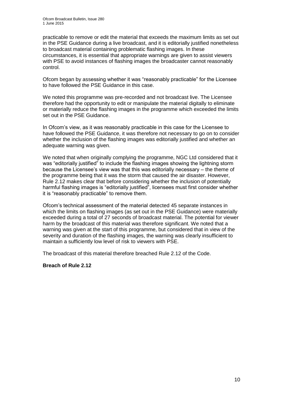practicable to remove or edit the material that exceeds the maximum limits as set out in the PSE Guidance during a live broadcast, and it is editorially justified nonetheless to broadcast material containing problematic flashing images. In these circumstances, it is essential that appropriate warnings are given to assist viewers with PSE to avoid instances of flashing images the broadcaster cannot reasonably control.

Ofcom began by assessing whether it was "reasonably practicable" for the Licensee to have followed the PSE Guidance in this case.

We noted this programme was pre-recorded and not broadcast live. The Licensee therefore had the opportunity to edit or manipulate the material digitally to eliminate or materially reduce the flashing images in the programme which exceeded the limits set out in the PSE Guidance.

In Ofcom's view, as it was reasonably practicable in this case for the Licensee to have followed the PSE Guidance, it was therefore not necessary to go on to consider whether the inclusion of the flashing images was editorially justified and whether an adequate warning was given.

We noted that when originally complying the programme, NGC Ltd considered that it was "editorially justified" to include the flashing images showing the lightning storm because the Licensee's view was that this was editorially necessary – the theme of the programme being that it was the storm that caused the air disaster. However, Rule 2.12 makes clear that before considering whether the inclusion of potentially harmful flashing images is "editorially justified", licensees must first consider whether it is "reasonably practicable" to remove them.

Ofcom's technical assessment of the material detected 45 separate instances in which the limits on flashing images (as set out in the PSE Guidance) were materially exceeded during a total of 27 seconds of broadcast material. The potential for viewer harm by the broadcast of this material was therefore significant. We noted that a warning was given at the start of this programme, but considered that in view of the severity and duration of the flashing images, the warning was clearly insufficient to maintain a sufficiently low level of risk to viewers with PSE.

The broadcast of this material therefore breached Rule 2.12 of the Code.

**Breach of Rule 2.12**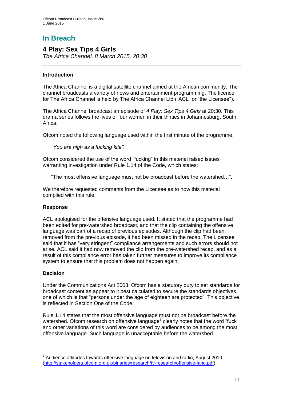# **In Breach**

# **4 Play: Sex Tips 4 Girls**

*The Africa Channel, 8 March 2015, 20:30*

# **Introduction**

The Africa Channel is a digital satellite channel aimed at the African community. The channel broadcasts a variety of news and entertainment programming. The licence for The Africa Channel is held by The Africa Channel Ltd ("ACL" or "the Licensee").

The Africa Channel broadcast an episode of *4 Play: Sex Tips 4 Girls* at 20:30. This drama series follows the lives of four women in their thirties in Johannesburg, South Africa.

Ofcom noted the following language used within the first minute of the programme:

*"You are high as a fucking kite".*

Ofcom considered the use of the word "fucking" in this material raised issues warranting investigation under Rule 1.14 of the Code, which states:

"The most offensive language must not be broadcast before the watershed…".

We therefore requested comments from the Licensee as to how this material complied with this rule.

## **Response**

ACL apologised for the offensive language used. It stated that the programme had been edited for pre-watershed broadcast, and that the clip containing the offensive language was part of a recap of previous episodes. Although the clip had been removed from the previous episode, it had been missed in the recap. The Licensee said that it has "very stringent" compliance arrangements and such errors should not arise. ACL said it had now removed the clip from the pre-watershed recap, and as a result of this compliance error has taken further measures to improve its compliance system to ensure that this problem does not happen again.

## **Decision**

1

Under the Communications Act 2003, Ofcom has a statutory duty to set standards for broadcast content as appear to it best calculated to secure the standards objectives, one of which is that "persons under the age of eighteen are protected". This objective is reflected in Section One of the Code.

Rule 1.14 states that the most offensive language must not be broadcast before the watershed. Ofcom research on offensive language<sup>1</sup> clearly notes that the word "fuck" and other variations of this word are considered by audiences to be among the most offensive language. Such language is unacceptable before the watershed.

 $1$  Audience attitudes towards offensive language on television and radio, August 2010 [\(http://stakeholders.ofcom.org.uk/binaries/research/tv-research/offensive-lang.pdf\)](http://stakeholders.ofcom.org.uk/binaries/research/tv-research/offensive-lang.pdf).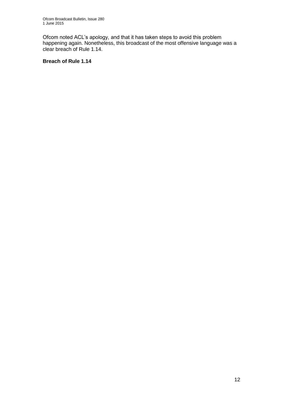Ofcom noted ACL's apology, and that it has taken steps to avoid this problem happening again. Nonetheless, this broadcast of the most offensive language was a clear breach of Rule 1.14.

# **Breach of Rule 1.14**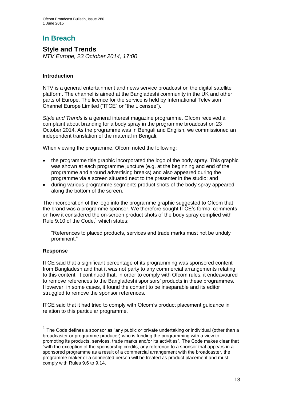# **In Breach**

# **Style and Trends**

*NTV Europe, 23 October 2014, 17:00* 

# **Introduction**

NTV is a general entertainment and news service broadcast on the digital satellite platform. The channel is aimed at the Bangladeshi community in the UK and other parts of Europe. The licence for the service is held by International Television Channel Europe Limited ("ITCE" or "the Licensee").

*Style and Trends* is a general interest magazine programme. Ofcom received a complaint about branding for a body spray in the programme broadcast on 23 October 2014. As the programme was in Bengali and English, we commissioned an independent translation of the material in Bengali.

When viewing the programme, Ofcom noted the following:

- the programme title graphic incorporated the logo of the body spray. This graphic was shown at each programme juncture (e.g. at the beginning and end of the programme and around advertising breaks) and also appeared during the programme via a screen situated next to the presenter in the studio; and
- during various programme segments product shots of the body spray appeared along the bottom of the screen.

The incorporation of the logo into the programme graphic suggested to Ofcom that the brand was a programme sponsor. We therefore sought ITCE's formal comments on how it considered the on-screen product shots of the body spray complied with Rule  $9.10$  of the Code,<sup>1</sup> which states:

"References to placed products, services and trade marks must not be unduly prominent."

## **Response**

<u>.</u>

ITCE said that a significant percentage of its programming was sponsored content from Bangladesh and that it was not party to any commercial arrangements relating to this content. It continued that, in order to comply with Ofcom rules, it endeavoured to remove references to the Bangladeshi sponsors' products in these programmes. However, in some cases, it found the content to be inseparable and its editor struggled to remove the sponsor references.

ITCE said that it had tried to comply with Ofcom's product placement guidance in relation to this particular programme.

 $1$  The Code defines a sponsor as "any public or private undertaking or individual (other than a broadcaster or programme producer) who is funding the programming with a view to promoting its products, services, trade marks and/or its activities". The Code makes clear that "with the exception of the sponsorship credits, any reference to a sponsor that appears in a sponsored programme as a result of a commercial arrangement with the broadcaster, the programme maker or a connected person will be treated as product placement and must comply with Rules 9.6 to 9.14.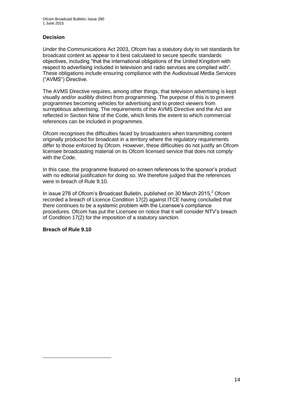# **Decision**

Under the Communications Act 2003, Ofcom has a statutory duty to set standards for broadcast content as appear to it best calculated to secure specific standards objectives, including "that the international obligations of the United Kingdom with respect to advertising included in television and radio services are complied with". These obligations include ensuring compliance with the Audiovisual Media Services ("AVMS") Directive.

The AVMS Directive requires, among other things, that television advertising is kept visually and/or audibly distinct from programming. The purpose of this is to prevent programmes becoming vehicles for advertising and to protect viewers from surreptitious advertising. The requirements of the AVMS Directive and the Act are reflected in Section Nine of the Code, which limits the extent to which commercial references can be included in programmes.

Ofcom recognises the difficulties faced by broadcasters when transmitting content originally produced for broadcast in a territory where the regulatory requirements differ to those enforced by Ofcom. However, these difficulties do not justify an Ofcom licensee broadcasting material on its Ofcom licensed service that does not comply with the Code.

In this case, the programme featured on-screen references to the sponsor's product with no editorial justification for doing so. We therefore judged that the references were in breach of Rule 9.10.

In issue 276 of Ofcom's Broadcast Bulletin, published on 30 March 2015, $^2$  Ofcom recorded a breach of Licence Condition 17(2) against ITCE having concluded that there continues to be a systemic problem with the Licensee's compliance procedures. Ofcom has put the Licensee on notice that it will consider NTV's breach of Condition 17(2) for the imposition of a statutory sanction.

## **Breach of Rule 9.10**

1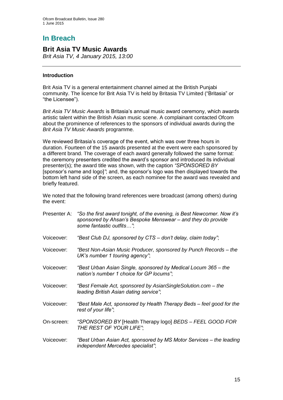# **In Breach**

# **Brit Asia TV Music Awards**

*Brit Asia TV, 4 January 2015, 13:00*

# **Introduction**

Brit Asia TV is a general entertainment channel aimed at the British Punjabi community. The licence for Brit Asia TV is held by Britasia TV Limited ("Britasia" or "the Licensee").

*Brit Asia TV Music Awards* is Britasia's annual music award ceremony, which awards artistic talent within the British Asian music scene. A complainant contacted Ofcom about the prominence of references to the sponsors of individual awards during the *Brit Asia TV Music Awards* programme.

We reviewed Britasia's coverage of the event, which was over three hours in duration. Fourteen of the 15 awards presented at the event were each sponsored by a different brand. The coverage of each award generally followed the same format: the ceremony presenters credited the award's sponsor and introduced its individual presenter(s); the award title was shown, with the caption *"SPONSORED BY* [sponsor's name and logo]*"*; and, the sponsor's logo was then displayed towards the bottom left hand side of the screen, as each nominee for the award was revealed and briefly featured.

We noted that the following brand references were broadcast (among others) during the event:

|            | Presenter A: "So the first award tonight, of the evening, is Best Newcomer. Now it's<br>sponsored by Ahsan's Bespoke Menswear – and they do provide<br>some fantastic outfits"; |
|------------|---------------------------------------------------------------------------------------------------------------------------------------------------------------------------------|
| Voiceover: | "Best Club DJ, sponsored by CTS – don't delay, claim today";                                                                                                                    |
| Voiceover: | "Best Non-Asian Music Producer, sponsored by Punch Records – the<br>UK's number 1 touring agency";                                                                              |
| Voiceover: | "Best Urban Asian Single, sponsored by Medical Locum 365 – the<br>nation's number 1 choice for GP locums";                                                                      |
| Voiceover: | "Best Female Act, sponsored by AsianSingleSolution.com – the<br>leading British Asian dating service";                                                                          |
| Voiceover: | "Best Male Act, sponsored by Health Therapy Beds – feel good for the<br>rest of your life";                                                                                     |
| On-screen: | "SPONSORED BY [Health Therapy logo] BEDS - FEEL GOOD FOR<br>THE REST OF YOUR LIFE";                                                                                             |
| Voiceover: | "Best Urban Asian Act, sponsored by MS Motor Services – the leading<br>independent Mercedes specialist";                                                                        |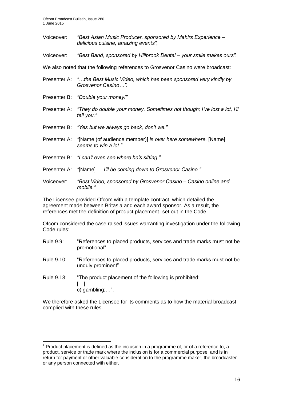- Voiceover: *"Best Asian Music Producer, sponsored by Mahirs Experience – delicious cuisine, amazing events"*;
- Voiceover: *"Best Band, sponsored by Hillbrook Dental – your smile makes ours".*

We also noted that the following references to Grosvenor Casino were broadcast:

- Presenter A: *"…the Best Music Video, which has been sponsored very kindly by Grosvenor Casino…".*
- Presenter B: *"Double your money!"*
- Presenter A: *"They do double your money. Sometimes not though; I've lost a lot, I'll tell you."*
- Presenter B: *"Yes but we always go back, don't we."*
- Presenter A: *"*[Name (of audience member)] *is over here somewhere.* [Name] *seems to win a lot."*
- Presenter B: *"I can't even see where he's sitting."*
- Presenter A: *"*[Name] *… I'll be coming down to Grosvenor Casino."*
- Voiceover: *"Best Video, sponsored by Grosvenor Casino – Casino online and mobile."*

The Licensee provided Ofcom with a template contract, which detailed the agreement made between Britasia and each award sponsor. As a result, the references met the definition of product placement<sup>1</sup> set out in the Code.

Ofcom considered the case raised issues warranting investigation under the following Code rules:

- Rule 9.9: "References to placed products, services and trade marks must not be promotional".
- Rule 9.10: "References to placed products, services and trade marks must not be unduly prominent".
- Rule 9.13: "The product placement of the following is prohibited: […] c) gambling;…".

1

We therefore asked the Licensee for its comments as to how the material broadcast complied with these rules.

 $1$  Product placement is defined as the inclusion in a programme of, or of a reference to, a product, service or trade mark where the inclusion is for a commercial purpose, and is in return for payment or other valuable consideration to the programme maker, the broadcaster or any person connected with either.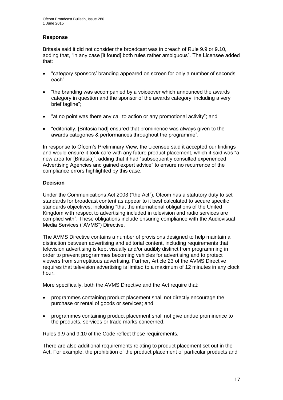# **Response**

Britasia said it did not consider the broadcast was in breach of Rule 9.9 or 9.10, adding that, "in any case [it found] both rules rather ambiguous". The Licensee added that:

- "category sponsors' branding appeared on screen for only a number of seconds each";
- "the branding was accompanied by a voiceover which announced the awards category in question and the sponsor of the awards category, including a very brief tagline":
- "at no point was there any call to action or any promotional activity"; and
- "editorially, [Britasia had] ensured that prominence was always given to the awards categories & performances throughout the programme".

In response to Ofcom's Preliminary View, the Licensee said it accepted our findings and would ensure it took care with any future product placement, which it said was "a new area for [Britasia]", adding that it had "subsequently consulted experienced Advertising Agencies and gained expert advice" to ensure no recurrence of the compliance errors highlighted by this case.

# **Decision**

Under the Communications Act 2003 ("the Act"), Ofcom has a statutory duty to set standards for broadcast content as appear to it best calculated to secure specific standards objectives, including "that the international obligations of the United Kingdom with respect to advertising included in television and radio services are complied with". These obligations include ensuring compliance with the Audiovisual Media Services ("AVMS") Directive.

The AVMS Directive contains a number of provisions designed to help maintain a distinction between advertising and editorial content, including requirements that television advertising is kept visually and/or audibly distinct from programming in order to prevent programmes becoming vehicles for advertising and to protect viewers from surreptitious advertising. Further, Article 23 of the AVMS Directive requires that television advertising is limited to a maximum of 12 minutes in any clock hour.

More specifically, both the AVMS Directive and the Act require that:

- programmes containing product placement shall not directly encourage the purchase or rental of goods or services; and
- programmes containing product placement shall not give undue prominence to the products, services or trade marks concerned.

Rules 9.9 and 9.10 of the Code reflect these requirements.

There are also additional requirements relating to product placement set out in the Act. For example, the prohibition of the product placement of particular products and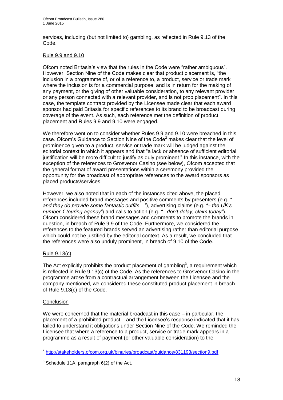services, including (but not limited to) gambling, as reflected in Rule 9.13 of the Code.

## Rule 9.9 and 9.10

Ofcom noted Britasia's view that the rules in the Code were "rather ambiguous". However, Section Nine of the Code makes clear that product placement is, "the inclusion in a programme of, or of a reference to, a product, service or trade mark where the inclusion is for a commercial purpose, and is in return for the making of any payment, or the giving of other valuable consideration, to any relevant provider or any person connected with a relevant provider, and is not prop placement". In this case, the template contract provided by the Licensee made clear that each award sponsor had paid Britasia for specific references to its brand to be broadcast during coverage of the event. As such, each reference met the definition of product placement and Rules 9.9 and 9.10 were engaged.

We therefore went on to consider whether Rules 9.9 and 9.10 were breached in this case. Ofcom's Guidance to Section Nine of the Code<sup>2</sup> makes clear that the level of prominence given to a product, service or trade mark will be judged against the editorial context in which it appears and that "a lack or absence of sufficient editorial justification will be more difficult to justify as duly prominent." In this instance, with the exception of the references to Grosvenor Casino (see below), Ofcom accepted that the general format of award presentations within a ceremony provided the opportunity for the broadcast of appropriate references to the award sponsors as placed products/services.

However, we also noted that in each of the instances cited above, the placed references included brand messages and positive comments by presenters (e.g. *"– and they do provide some fantastic outfits…"*), advertising claims (e.g. *"– the UK's number 1 touring agency"*) and calls to action (e.g. *"*– *don't delay, claim today"*). Ofcom considered these brand messages and comments to promote the brands in question, in breach of Rule 9.9 of the Code. Furthermore, we considered the references to the featured brands served an advertising rather than editorial purpose which could not be justified by the editorial context. As a result, we concluded that the references were also unduly prominent, in breach of 9.10 of the Code.

## Rule 9.13(c)

The Act explicitly prohibits the product placement of gambling<sup>3</sup>, a requirement which is reflected in Rule 9.13(c) of the Code. As the references to Grosvenor Casino in the programme arose from a contractual arrangement between the Licensee and the company mentioned, we considered these constituted product placement in breach of Rule 9.13(c) of the Code.

## **Conclusion**

We were concerned that the material broadcast in this case – in particular, the placement of a prohibited product – and the Licensee's response indicated that it has failed to understand it obligations under Section Nine of the Code. We reminded the Licensee that where a reference to a product, service or trade mark appears in a programme as a result of payment (or other valuable consideration) to the

<sup>1</sup> <sup>2</sup> [http://stakeholders.ofcom.org.uk/binaries/broadcast/guidance/831193/section9.pdf.](http://stakeholders.ofcom.org.uk/binaries/broadcast/guidance/831193/section9.pdf)

 $3$  Schedule 11A, paragraph 6(2) of the Act.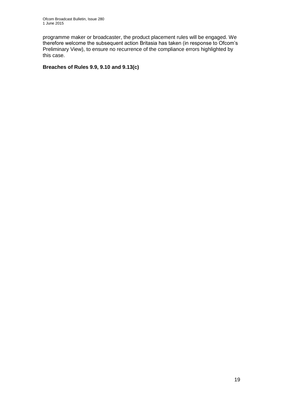programme maker or broadcaster, the product placement rules will be engaged. We therefore welcome the subsequent action Britasia has taken (in response to Ofcom's Preliminary View), to ensure no recurrence of the compliance errors highlighted by this case.

# **Breaches of Rules 9.9, 9.10 and 9.13(c)**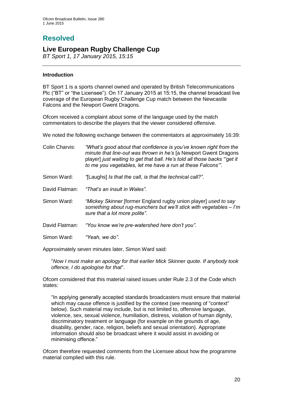# **Resolved**

# **Live European Rugby Challenge Cup**

*BT Sport 1, 17 January 2015, 15:15*

# **Introduction**

BT Sport 1 is a sports channel owned and operated by British Telecommunications Plc ("BT" or "the Licensee"). On 17 January 2015 at 15:15, the channel broadcast live coverage of the European Rugby Challenge Cup match between the Newcastle Falcons and the Newport Gwent Dragons.

Ofcom received a complaint about some of the language used by the match commentators to describe the players that the viewer considered offensive.

We noted the following exchange between the commentators at approximately 16:39:

| Colin Charvis: | "What's good about that confidence is you've known right from the        |
|----------------|--------------------------------------------------------------------------|
|                | minute that line-out was thrown in he's [a Newport Gwent Dragons         |
|                | player] just waiting to get that ball. He's told all those backs "get it |
|                | to me you vegetables, let me have a run at these Falcons".               |

- Simon Ward: *"*[Laughs] *Is that the calI, is that the technical call?"*.
- David Flatman: *"That's an insult in Wales"*.
- Simon Ward: *"Mickey Skinner* [former England rugby union player] *used to say something about rug-munchers but we'll stick with vegetables – I'm sure that a lot more polite"*.
- David Flatman: *"You know we're pre-watershed here don't you"*.
- Simon Ward: *"Yeah, we do"*.

Approximately seven minutes later, Simon Ward said:

"*Now I must make an apology for that earlier Mick Skinner quote. If anybody took offence, I do apologise for that*".

Ofcom considered that this material raised issues under Rule 2.3 of the Code which states:

"In applying generally accepted standards broadcasters must ensure that material which may cause offence is justified by the context (see meaning of "context" below). Such material may include, but is not limited to, offensive language, violence, sex, sexual violence, humiliation, distress, violation of human dignity, discriminatory treatment or language (for example on the grounds of age, disability, gender, race, religion, beliefs and sexual orientation). Appropriate information should also be broadcast where it would assist in avoiding or minimising offence."

Ofcom therefore requested comments from the Licensee about how the programme material complied with this rule.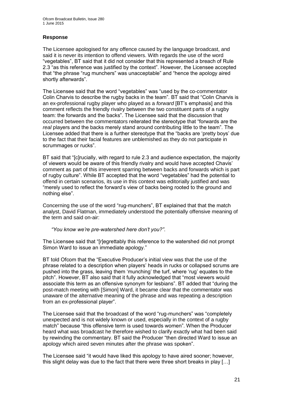# **Response**

The Licensee apologised for any offence caused by the language broadcast, and said it is never its intention to offend viewers. With regards the use of the word "vegetables", BT said that it did not consider that this represented a breach of Rule 2.3 "as this reference was justified by the context". However, the Licensee accepted that "the phrase "rug munchers" was unacceptable" and "hence the apology aired shortly afterwards".

The Licensee said that the word "vegetables" was "used by the co-commentator Colin Charvis to describe the rugby backs in the team". BT said that "Colin Charvis is an ex-professional rugby player who played as a *forward* [BT's emphasis] and this comment reflects the friendly rivalry between the two constituent parts of a rugby team: the forwards and the backs". The Licensee said that the discussion that occurred between the commentators reiterated the stereotype that "forwards are the *real* players and the backs merely stand around contributing little to the team". The Licensee added that there is a further stereotype that the "backs are 'pretty boys' due to the fact that their facial features are unblemished as they do not participate in scrummages or rucks".

BT said that "[c]rucially, with regard to rule 2.3 and audience expectation, the majority of viewers would be aware of this friendly rivalry and would have accepted Chavis' comment as part of this irreverent sparring between backs and forwards which is part of rugby culture". While BT accepted that the word "vegetables" had the potential to offend in certain scenarios, its use in this context was editorially justified and was "merely used to reflect the forward's view of backs being rooted to the ground and nothing else".

Concerning the use of the word "rug-munchers", BT explained that that the match analyst, David Flatman, immediately understood the potentially offensive meaning of the term and said on-air:

## *"You know we're pre-watershed here don't you?"*.

The Licensee said that "[r]egrettably this reference to the watershed did not prompt Simon Ward to issue an immediate apology."

BT told Ofcom that the "Executive Producer's initial view was that the use of the phrase related to a description when players' heads in rucks or collapsed scrums are pushed into the grass, leaving them 'munching' the turf, where 'rug' equates to the pitch". However, BT also said that it fully acknowledged that "most viewers would associate this term as an offensive synonym for lesbians". BT added that "during the post-match meeting with [Simon] Ward, it became clear that the commentator was unaware of the alternative meaning of the phrase and was repeating a description from an ex-professional player".

The Licensee said that the broadcast of the word "rug-munchers" was "completely unexpected and is not widely known or used, especially in the context of a rugby match" because "this offensive term is used towards women". When the Producer heard what was broadcast he therefore wished to clarify exactly what had been said by rewinding the commentary. BT said the Producer "then directed Ward to issue an apology which aired seven minutes after the phrase was spoken".

The Licensee said "it would have liked this apology to have aired sooner; however, this slight delay was due to the fact that there were three short breaks in play […]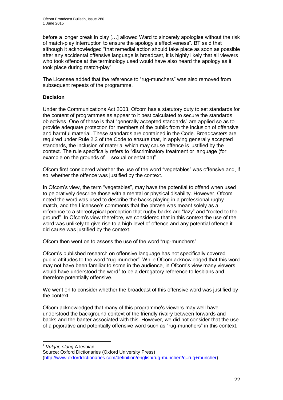before a longer break in play […] allowed Ward to sincerely apologise without the risk of match-play interruption to ensure the apology's effectiveness". BT said that although it acknowledged "that remedial action should take place as soon as possible after any accidental offensive language is broadcast, it is highly likely that all viewers who took offence at the terminology used would have also heard the apology as it took place during match-play".

The Licensee added that the reference to "rug-munchers" was also removed from subsequent repeats of the programme.

# **Decision**

Under the Communications Act 2003, Ofcom has a statutory duty to set standards for the content of programmes as appear to it best calculated to secure the standards objectives. One of these is that "generally accepted standards" are applied so as to provide adequate protection for members of the public from the inclusion of offensive and harmful material. These standards are contained in the Code. Broadcasters are required under Rule 2.3 of the Code to ensure that, in applying generally accepted standards, the inclusion of material which may cause offence is justified by the context. The rule specifically refers to "discriminatory treatment or language (for example on the grounds of… sexual orientation)".

Ofcom first considered whether the use of the word "vegetables" was offensive and, if so, whether the offence was justified by the context.

In Ofcom's view, the term "vegetables", may have the potential to offend when used to pejoratively describe those with a mental or physical disability. However, Ofcom noted the word was used to describe the backs playing in a professional rugby match, and the Licensee's comments that the phrase was meant solely as a reference to a stereotypical perception that rugby backs are "lazy" and "rooted to the ground". In Ofcom's view therefore, we considered that in this context the use of the word was unlikely to give rise to a high level of offence and any potential offence it did cause was justified by the context.

Ofcom then went on to assess the use of the word "rug-munchers".

Ofcom's published research on offensive language has not specifically covered public attitudes to the word "rug-muncher". While Ofcom acknowledged that this word may not have been familiar to some in the audience, in Ofcom's view many viewers would have understood the word $1$  to be a derogatory reference to lesbians and therefore potentially offensive.

We went on to consider whether the broadcast of this offensive word was justified by the context.

Ofcom acknowledged that many of this programme's viewers may well have understood the background context of the friendly rivalry between forwards and backs and the banter associated with this. However, we did not consider that the use of a pejorative and potentially offensive word such as "rug-munchers" in this context,

 $\overline{1}$ 

<sup>1</sup> *Vulgar, slang* A lesbian.

Source: Oxford Dictionaries (Oxford University Press)

[<sup>\(</sup>http://www.oxforddictionaries.com/definition/english/rug-muncher?q=rug+muncher\)](http://www.oxforddictionaries.com/definition/english/rug-muncher?q=rug+muncher)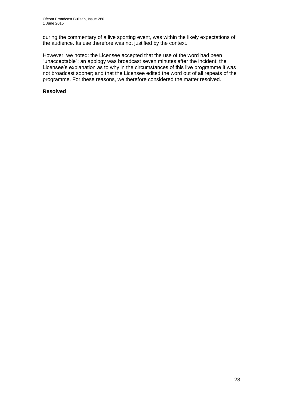during the commentary of a live sporting event, was within the likely expectations of the audience. Its use therefore was not justified by the context.

However, we noted: the Licensee accepted that the use of the word had been "unacceptable"; an apology was broadcast seven minutes after the incident; the Licensee's explanation as to why in the circumstances of this live programme it was not broadcast sooner; and that the Licensee edited the word out of all repeats of the programme. For these reasons, we therefore considered the matter resolved.

# **Resolved**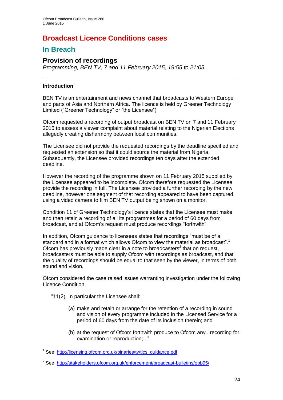# **Broadcast Licence Conditions cases**

# **In Breach**

# **Provision of recordings**

*Programming, BEN TV, 7 and 11 February 2015, 19:55 to 21:05*

# **Introduction**

BEN TV is an entertainment and news channel that broadcasts to Western Europe and parts of Asia and Northern Africa. The licence is held by Greener Technology Limited ("Greener Technology" or "the Licensee").

Ofcom requested a recording of output broadcast on BEN TV on 7 and 11 February 2015 to assess a viewer complaint about material relating to the Nigerian Elections allegedly creating disharmony between local communities.

The Licensee did not provide the requested recordings by the deadline specified and requested an extension so that it could source the material from Nigeria. Subsequently, the Licensee provided recordings ten days after the extended deadline.

However the recording of the programme shown on 11 February 2015 supplied by the Licensee appeared to be incomplete. Ofcom therefore requested the Licensee provide the recording in full. The Licensee provided a further recording by the new deadline, however one segment of that recording appeared to have been captured using a video camera to film BEN TV output being shown on a monitor.

Condition 11 of Greener Technology's licence states that the Licensee must make and then retain a recording of all its programmes for a period of 60 days from broadcast, and at Ofcom's request must produce recordings "forthwith".

In addition, Ofcom guidance to licensees states that recordings "must be of a standard and in a format which allows Ofcom to view the material as broadcast".<sup>1</sup> Ofcom has previously made clear in a note to broadcasters<sup>2</sup> that on request, broadcasters must be able to supply Ofcom with recordings as broadcast, and that the quality of recordings should be equal to that seen by the viewer, in terms of both sound and vision.

Ofcom considered the case raised issues warranting investigation under the following Licence Condition:

- "11(2) In particular the Licensee shall:
	- (a) make and retain or arrange for the retention of a recording in sound and vision of every programme included in the Licensed Service for a period of 60 days from the date of its inclusion therein; and
	- (b) at the request of Ofcom forthwith produce to Ofcom any...recording for examination or reproduction;...".

 1 See: [http://licensing.ofcom.org.uk/binaries/tv/tlcs\\_guidance.pdf](http://licensing.ofcom.org.uk/binaries/tv/tlcs_guidance.pdf)

<sup>&</sup>lt;sup>2</sup> See:<http://stakeholders.ofcom.org.uk/enforcement/broadcast-bulletins/obb95/>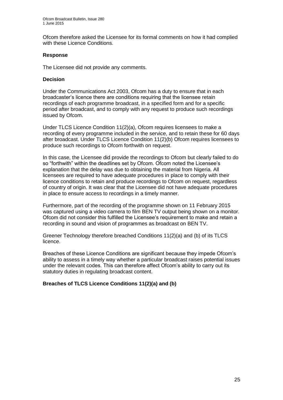Ofcom therefore asked the Licensee for its formal comments on how it had complied with these Licence Conditions.

#### **Response**

The Licensee did not provide any comments.

#### **Decision**

Under the Communications Act 2003, Ofcom has a duty to ensure that in each broadcaster's licence there are conditions requiring that the licensee retain recordings of each programme broadcast, in a specified form and for a specific period after broadcast, and to comply with any request to produce such recordings issued by Ofcom.

Under TLCS Licence Condition 11(2)(a), Ofcom requires licensees to make a recording of every programme included in the service, and to retain these for 60 days after broadcast. Under TLCS Licence Condition 11(2)(b) Ofcom requires licensees to produce such recordings to Ofcom forthwith on request.

In this case, the Licensee did provide the recordings to Ofcom but clearly failed to do so "forthwith" within the deadlines set by Ofcom. Ofcom noted the Licensee's explanation that the delay was due to obtaining the material from Nigeria. All licensees are required to have adequate procedures in place to comply with their licence conditions to retain and produce recordings to Ofcom on request, regardless of country of origin. It was clear that the Licensee did not have adequate procedures in place to ensure access to recordings in a timely manner.

Furthermore, part of the recording of the programme shown on 11 February 2015 was captured using a video camera to film BEN TV output being shown on a monitor. Ofcom did not consider this fulfilled the Licensee's requirement to make and retain a recording in sound and vision of programmes as broadcast on BEN TV.

Greener Technology therefore breached Conditions 11(2)(a) and (b) of its TLCS licence.

Breaches of these Licence Conditions are significant because they impede Ofcom's ability to assess in a timely way whether a particular broadcast raises potential issues under the relevant codes. This can therefore affect Ofcom's ability to carry out its statutory duties in regulating broadcast content.

## **Breaches of TLCS Licence Conditions 11(2)(a) and (b)**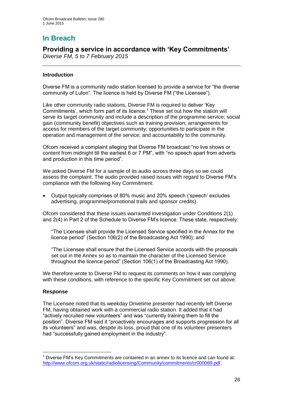# **In Breach**

# **Providing a service in accordance with 'Key Commitments'**

*Diverse FM, 5 to 7 February 2015* 

# **Introduction**

Diverse FM is a community radio station licensed to provide a service for "the diverse community of Luton". The licence is held by Diverse FM ("the Licensee").

Like other community radio stations, Diverse FM is required to deliver 'Key Commitments', which form part of its licence.<sup>1</sup> These set out how the station will serve its target community and include a description of the programme service; social gain (community benefit) objectives such as training provision; arrangements for access for members of the target community; opportunities to participate in the operation and management of the service; and accountability to the community.

Ofcom received a complaint alleging that Diverse FM broadcast "no live shows or content from midnight till the earliest 6 or 7 PM", with "no speech apart from adverts and production in this time period".

We asked Diverse FM for a sample of its audio across three days so we could assess the complaint. The audio provided raised issues with regard to Diverse FM's compliance with the following Key Commitment:

 Output typically comprises of 80% music and 20% speech ('speech' excludes advertising, programme/promotional trails and sponsor credits).

Ofcom considered that these issues warranted investigation under Conditions 2(1) and 2(4) in Part 2 of the Schedule to Diverse FM's licence. These state, respectively:

"The Licensee shall provide the Licensed Service specified in the Annex for the licence period" (Section 106(2) of the Broadcasting Act 1990); and

"The Licensee shall ensure that the Licensed Service accords with the proposals set out in the Annex so as to maintain the character of the Licensed Service throughout the licence period" (Section 106(1) of the Broadcasting Act 1990).

We therefore wrote to Diverse FM to request its comments on how it was complying with these conditions, with reference to the specific Key Commitment set out above.

## **Response**

1

The Licensee noted that its weekday Drivetime presenter had recently left Diverse FM, having obtained work with a commercial radio station. It added that it had "actively recruited new volunteers" and was "currently training them to fill the position". Diverse FM said it "proactively encourages and supports progression for all its volunteers" and was, despite its loss, proud that one of its volunteer presenters had "successfully gained employment in the industry".

 $<sup>1</sup>$  Diverse FM's Key Commitments are contained in an annex to its licence and can found at:</sup> [http://www.ofcom.org.uk/static/radiolicensing/Community/commitments/cr000089.pdf.](http://www.ofcom.org.uk/static/radiolicensing/Community/commitments/cr000089.pdf)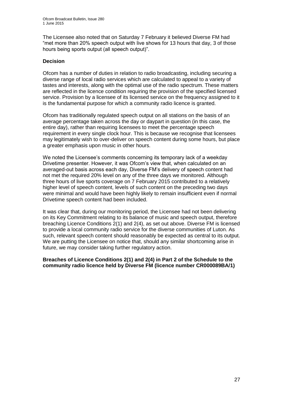The Licensee also noted that on Saturday 7 February it believed Diverse FM had "met more than 20% speech output with live shows for 13 hours that day, 3 of those hours being sports output (all speech output)".

# **Decision**

Ofcom has a number of duties in relation to radio broadcasting, including securing a diverse range of local radio services which are calculated to appeal to a variety of tastes and interests, along with the optimal use of the radio spectrum. These matters are reflected in the licence condition requiring the provision of the specified licensed service. Provision by a licensee of its licensed service on the frequency assigned to it is the fundamental purpose for which a community radio licence is granted.

Ofcom has traditionally regulated speech output on all stations on the basis of an average percentage taken across the day or daypart in question (in this case, the entire day), rather than requiring licensees to meet the percentage speech requirement in every single clock hour. This is because we recognise that licensees may legitimately wish to over-deliver on speech content during some hours, but place a greater emphasis upon music in other hours.

We noted the Licensee's comments concerning its temporary lack of a weekday Drivetime presenter. However, it was Ofcom's view that, when calculated on an averaged-out basis across each day, Diverse FM's delivery of speech content had not met the required 20% level on any of the three days we monitored. Although three hours of live sports coverage on 7 February 2015 contributed to a relatively higher level of speech content, levels of such content on the preceding two days were minimal and would have been highly likely to remain insufficient even if normal Drivetime speech content had been included.

It was clear that, during our monitoring period, the Licensee had not been delivering on its Key Commitment relating to its balance of music and speech output, therefore breaching Licence Conditions 2(1) and 2(4), as set out above. Diverse FM is licensed to provide a local community radio service for the diverse communities of Luton. As such, relevant speech content should reasonably be expected as central to its output. We are putting the Licensee on notice that, should any similar shortcoming arise in future, we may consider taking further regulatory action.

## **Breaches of Licence Conditions 2(1) and 2(4) in Part 2 of the Schedule to the community radio licence held by Diverse FM (licence number CR000089BA/1)**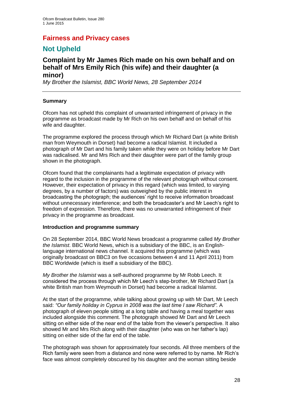# **Fairness and Privacy cases**

# **Not Upheld**

# **Complaint by Mr James Rich made on his own behalf and on behalf of Mrs Emily Rich (his wife) and their daughter (a minor)**

*My Brother the Islamist, BBC World News, 28 September 2014*

## **Summary**

Ofcom has not upheld this complaint of unwarranted infringement of privacy in the programme as broadcast made by Mr Rich on his own behalf and on behalf of his wife and daughter.

The programme explored the process through which Mr Richard Dart (a white British man from Weymouth in Dorset) had become a radical Islamist. It included a photograph of Mr Dart and his family taken while they were on holiday before Mr Dart was radicalised. Mr and Mrs Rich and their daughter were part of the family group shown in the photograph.

Ofcom found that the complainants had a legitimate expectation of privacy with regard to the inclusion in the programme of the relevant photograph without consent. However, their expectation of privacy in this regard (which was limited, to varying degrees, by a number of factors) was outweighed by the public interest in broadcasting the photograph; the audiences' right to receive information broadcast without unnecessary interference; and both the broadcaster's and Mr Leech's right to freedom of expression. Therefore, there was no unwarranted infringement of their privacy in the programme as broadcast.

#### **Introduction and programme summary**

On 28 September 2014, BBC World News broadcast a programme called *My Brother the Islamist*. BBC World News, which is a subsidiary of the BBC, is an Englishlanguage international news channel. It acquired this programme (which was originally broadcast on BBC3 on five occasions between 4 and 11 April 2011) from BBC Worldwide (which is itself a subsidiary of the BBC).

*My Brother the Islamist* was a self-authored programme by Mr Robb Leech. It considered the process through which Mr Leech's step-brother, Mr Richard Dart (a white British man from Weymouth in Dorset) had become a radical Islamist.

At the start of the programme, while talking about growing up with Mr Dart, Mr Leech said: *"Our family holiday in Cyprus in 2008 was the last time I saw Richard"*. A photograph of eleven people sitting at a long table and having a meal together was included alongside this comment. The photograph showed Mr Dart and Mr Leech sitting on either side of the near end of the table from the viewer's perspective. It also showed Mr and Mrs Rich along with their daughter (who was on her father's lap) sitting on either side of the far end of the table.

The photograph was shown for approximately four seconds. All three members of the Rich family were seen from a distance and none were referred to by name. Mr Rich's face was almost completely obscured by his daughter and the woman sitting beside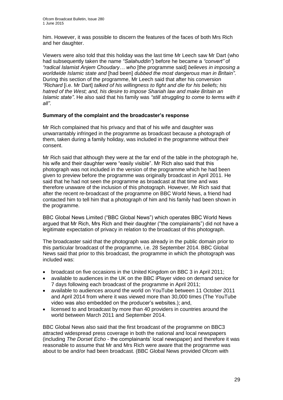him. However, it was possible to discern the features of the faces of both Mrs Rich and her daughter.

Viewers were also told that this holiday was the last time Mr Leech saw Mr Dart (who had subsequently taken the name *"Salahuddin"*) before he became a *"convert"* of *"radical Islamist Anjem Choudary… who* [the programme said] *believes in imposing a worldwide Islamic state and* [had been] *dubbed the most dangerous man in Britain"*. During this section of the programme, Mr Leech said that after his conversion *"Richard* [i.e. Mr Dart] *talked of his willingness to fight and die for his beliefs; his hatred of the West; and, his desire to impose Shariah law and make Britain an Islamic state"*. He also said that his family was *"still struggling to come to terms with it all"*.

## **Summary of the complaint and the broadcaster's response**

Mr Rich complained that his privacy and that of his wife and daughter was unwarrantably infringed in the programme as broadcast because a photograph of them, taken during a family holiday, was included in the programme without their consent.

Mr Rich said that although they were at the far end of the table in the photograph he, his wife and their daughter were "easily visible". Mr Rich also said that this photograph was not included in the version of the programme which he had been given to preview before the programme was originally broadcast in April 2011. He said that he had not seen the programme as broadcast at that time and was therefore unaware of the inclusion of this photograph. However, Mr Rich said that after the recent re-broadcast of the programme on BBC World News, a friend had contacted him to tell him that a photograph of him and his family had been shown in the programme.

BBC Global News Limited ("BBC Global News") which operates BBC World News argued that Mr Rich, Mrs Rich and their daughter ("the complainants") did not have a legitimate expectation of privacy in relation to the broadcast of this photograph.

The broadcaster said that the photograph was already in the public domain prior to this particular broadcast of the programme, i.e. 28 September 2014. BBC Global News said that prior to this broadcast, the programme in which the photograph was included was:

- broadcast on five occasions in the United Kingdom on BBC 3 in April 2011;
- available to audiences in the UK on the BBC iPlayer video on demand service for 7 days following each broadcast of the programme in April 2011;
- available to audiences around the world on YouTube between 11 October 2011 and April 2014 from where it was viewed more than 30,000 times (The YouTube video was also embedded on the producer's websites.); and,
- licensed to and broadcast by more than 40 providers in countries around the world between March 2011 and September 2014.

BBC Global News also said that the first broadcast of the programme on BBC3 attracted widespread press coverage in both the national and local newspapers (including *The Dorset Echo* - the complainants' local newspaper) and therefore it was reasonable to assume that Mr and Mrs Rich were aware that the programme was about to be and/or had been broadcast. (BBC Global News provided Ofcom with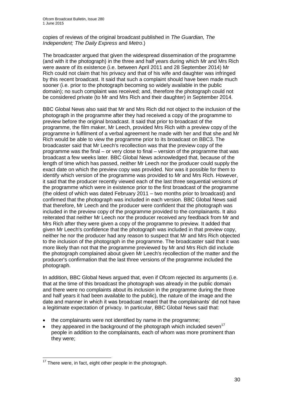copies of reviews of the original broadcast published in *The Guardian, The Independent; The Daily Express* and *Metro*.)

The broadcaster argued that given the widespread dissemination of the programme (and with it the photograph) in the three and half years during which Mr and Mrs Rich were aware of its existence (i.e. between April 2011 and 28 September 2014) Mr Rich could not claim that his privacy and that of his wife and daughter was infringed by this recent broadcast. It said that such a complaint should have been made much sooner (i.e. prior to the photograph becoming so widely available in the public domain); no such complaint was received; and, therefore the photograph could not be considered private (to Mr and Mrs Rich and their daughter) in September 2014.

BBC Global News also said that Mr and Mrs Rich did not object to the inclusion of the photograph in the programme after they had received a copy of the programme to preview before the original broadcast. It said that prior to broadcast of the programme, the film maker, Mr Leech, provided Mrs Rich with a preview copy of the programme in fulfilment of a verbal agreement he made with her and that she and Mr Rich would be able to view the programme prior to its broadcast on BBC3. The broadcaster said that Mr Leech's recollection was that the preview copy of the programme was the final – or very close to final – version of the programme that was broadcast a few weeks later. BBC Global News acknowledged that, because of the length of time which has passed, neither Mr Leech nor the producer could supply the exact date on which the preview copy was provided. Nor was it possible for them to identify which version of the programme was provided to Mr and Mrs Rich. However, it said that the producer recently viewed each of the last three sequential versions of the programme which were in existence prior to the first broadcast of the programme (the oldest of which was dated February 2011 – two months prior to broadcast) and confirmed that the photograph was included in each version. BBC Global News said that therefore, Mr Leech and the producer were confident that the photograph was included in the preview copy of the programme provided to the complainants. It also reiterated that neither Mr Leech nor the producer received any feedback from Mr and Mrs Rich after they were given a copy of the programme to preview. It added that given Mr Leech's confidence that the photograph was included in that preview copy, neither he nor the producer had any reason to suspect that Mr and Mrs Rich objected to the inclusion of the photograph in the programme. The broadcaster said that it was more likely than not that the programme previewed by Mr and Mrs Rich did include the photograph complained about given Mr Leech's recollection of the matter and the producer's confirmation that the last three versions of the programme included the photograph.

In addition, BBC Global News argued that, even if Ofcom rejected its arguments (i.e. that at the time of this broadcast the photograph was already in the public domain and there were no complaints about its inclusion in the programme during the three and half years it had been available to the public), the nature of the image and the date and manner in which it was broadcast meant that the complainants' did not have a legitimate expectation of privacy. In particular, BBC Global News said that:

- the complainants were not identified by name in the programme;
- they appeared in the background of the photograph which included seven<sup>17</sup> people in addition to the complainants, each of whom was more prominent than they were;

<sup>1</sup>  $17$  There were, in fact, eight other people in the photograph.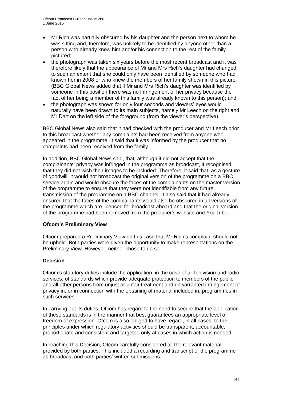- Mr Rich was partially obscured by his daughter and the person next to whom he was sitting and, therefore, was unlikely to be identified by anyone other than a person who already knew him and/or his connection to the rest of the family pictured;
- the photograph was taken six years before the most recent broadcast and it was therefore likely that the appearance of Mr and Mrs Rich's daughter had changed to such an extent that she could only have been identified by someone who had known her in 2008 or who knew the members of her family shown in this picture. (BBC Global News added that if Mr and Mrs Rich's daughter was identified by someone in this position there was no infringement of her privacy because the fact of her being a member of this family was already known to this person); and,
- the photograph was shown for only four seconds and viewers' eyes would naturally have been drawn to its main subjects, namely Mr Leech on the right and Mr Dart on the left side of the foreground (from the viewer's perspective).

BBC Global News also said that it had checked with the producer and Mr Leech prior to this broadcast whether any complaints had been received from anyone who appeared in the programme. It said that it was informed by the producer that no complaints had been received from the family.

In addition, BBC Global News said, that, although it did not accept that the complainants' privacy was infringed in the programme as broadcast, it recognised that they did not wish their images to be included. Therefore, it said that, as a gesture of goodwill, it would not broadcast the original version of the programme on a BBC service again and would obscure the faces of the complainants on the master version of the programme to ensure that they were not identifiable from any future transmission of the programme on a BBC channel. It also said that it had already ensured that the faces of the complainants would also be obscured in all versions of the programme which are licensed for broadcast aboard and that the original version of the programme had been removed from the producer's website and YouTube.

## **Ofcom's Preliminary View**

Ofcom prepared a Preliminary View on this case that Mr Rich's complaint should not be upheld. Both parties were given the opportunity to make representations on the Preliminary View. However, neither chose to do so.

## **Decision**

Ofcom's statutory duties include the application, in the case of all television and radio services, of standards which provide adequate protection to members of the public and all other persons from unjust or unfair treatment and unwarranted infringement of privacy in, or in connection with the obtaining of material included in, programmes in such services.

In carrying out its duties, Ofcom has regard to the need to secure that the application of these standards is in the manner that best guarantees an appropriate level of freedom of expression. Ofcom is also obliged to have regard, in all cases, to the principles under which regulatory activities should be transparent, accountable, proportionate and consistent and targeted only at cases in which action is needed.

In reaching this Decision, Ofcom carefully considered all the relevant material provided by both parties. This included a recording and transcript of the programme as broadcast and both parties' written submissions.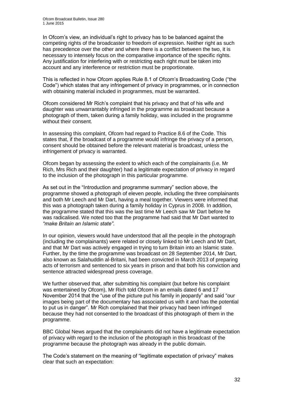In Ofcom's view, an individual's right to privacy has to be balanced against the competing rights of the broadcaster to freedom of expression. Neither right as such has precedence over the other and where there is a conflict between the two, it is necessary to intensely focus on the comparative importance of the specific rights. Any justification for interfering with or restricting each right must be taken into account and any interference or restriction must be proportionate.

This is reflected in how Ofcom applies Rule 8.1 of Ofcom's Broadcasting Code ("the Code") which states that any infringement of privacy in programmes, or in connection with obtaining material included in programmes, must be warranted.

Ofcom considered Mr Rich's complaint that his privacy and that of his wife and daughter was unwarrantably infringed in the programme as broadcast because a photograph of them, taken during a family holiday, was included in the programme without their consent.

In assessing this complaint, Ofcom had regard to Practice 8.6 of the Code. This states that, if the broadcast of a programme would infringe the privacy of a person, consent should be obtained before the relevant material is broadcast, unless the infringement of privacy is warranted.

Ofcom began by assessing the extent to which each of the complainants (i.e. Mr Rich, Mrs Rich and their daughter) had a legitimate expectation of privacy in regard to the inclusion of the photograph in this particular programme.

As set out in the "Introduction and programme summary" section above, the programme showed a photograph of eleven people, including the three complainants and both Mr Leech and Mr Dart, having a meal together. Viewers were informed that this was a photograph taken during a family holiday in Cyprus in 2008. In addition, the programme stated that this was the last time Mr Leech saw Mr Dart before he was radicalised. We noted too that the programme had said that Mr Dart wanted to *"make Britain an Islamic state"*.

In our opinion, viewers would have understood that all the people in the photograph (including the complainants) were related or closely linked to Mr Leech and Mr Dart, and that Mr Dart was actively engaged in trying to turn Britain into an Islamic state. Further, by the time the programme was broadcast on 28 September 2014, Mr Dart, also known as Salahuddin al-Britani, had been convicted in March 2013 of preparing acts of terrorism and sentenced to six years in prison and that both his conviction and sentence attracted widespread press coverage.

We further observed that, after submitting his complaint (but before his complaint was entertained by Ofcom), Mr Rich told Ofcom in an emails dated 6 and 17 November 2014 that the "use of the picture put his family in jeopardy" and said "our images being part of the documentary has associated us with it and has the potential to put us in danger". Mr Rich complained that their privacy had been infringed because they had not consented to the broadcast of this photograph of them in the programme.

BBC Global News argued that the complainants did not have a legitimate expectation of privacy with regard to the inclusion of the photograph in this broadcast of the programme because the photograph was already in the public domain.

The Code's statement on the meaning of "legitimate expectation of privacy" makes clear that such an expectation: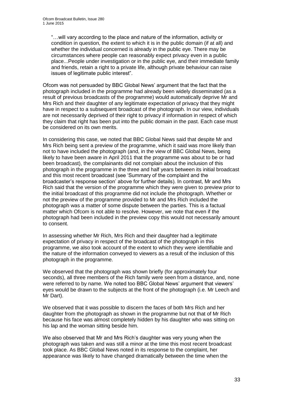"…will vary according to the place and nature of the information, activity or condition in question, the extent to which it is in the public domain (if at all) and whether the individual concerned is already in the public eye. There may be circumstances where people can reasonably expect privacy even in a public place...People under investigation or in the public eye, and their immediate family and friends, retain a right to a private life, although private behaviour can raise issues of legitimate public interest".

Ofcom was not persuaded by BBC Global News' argument that the fact that the photograph included in the programme had already been widely disseminated (as a result of previous broadcasts of the programme) would automatically deprive Mr and Mrs Rich and their daughter of any legitimate expectation of privacy that they might have in respect to a subsequent broadcast of the photograph. In our view, individuals are not necessarily deprived of their right to privacy if information in respect of which they claim that right has been put into the public domain in the past. Each case must be considered on its own merits.

In considering this case, we noted that BBC Global News said that despite Mr and Mrs Rich being sent a preview of the programme, which it said was more likely than not to have included the photograph (and, in the view of BBC Global News, being likely to have been aware in April 2011 that the programme was about to be or had been broadcast), the complainants did not complain about the inclusion of this photograph in the programme in the three and half years between its initial broadcast and this most recent broadcast (see 'Summary of the complaint and the broadcaster's response section' above for further details). In contrast, Mr and Mrs Rich said that the version of the programme which they were given to preview prior to the initial broadcast of this programme did not include the photograph. Whether or not the preview of the programme provided to Mr and Mrs Rich included the photograph was a matter of some dispute between the parties. This is a factual matter which Ofcom is not able to resolve. However, we note that even if the photograph had been included in the preview copy this would not necessarily amount to consent.

In assessing whether Mr Rich, Mrs Rich and their daughter had a legitimate expectation of privacy in respect of the broadcast of the photograph in this programme, we also took account of the extent to which they were identifiable and the nature of the information conveyed to viewers as a result of the inclusion of this photograph in the programme.

We observed that the photograph was shown briefly (for approximately four seconds), all three members of the Rich family were seen from a distance, and, none were referred to by name. We noted too BBC Global News' argument that viewers' eyes would be drawn to the subjects at the front of the photograph (i.e. Mr Leech and Mr Dart).

We observed that it was possible to discern the faces of both Mrs Rich and her daughter from the photograph as shown in the programme but not that of Mr Rich because his face was almost completely hidden by his daughter who was sitting on his lap and the woman sitting beside him.

We also observed that Mr and Mrs Rich's daughter was very young when the photograph was taken and was still a minor at the time this most recent broadcast took place. As BBC Global News noted in its response to the complaint, her appearance was likely to have changed dramatically between the time when the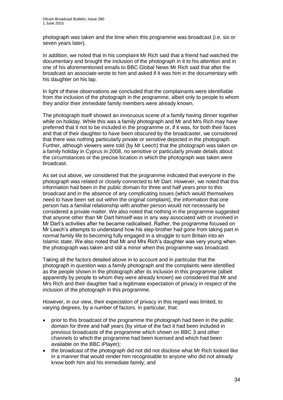photograph was taken and the time when this programme was broadcast (i.e. six or seven years later).

In addition, we noted that in his complaint Mr Rich said that a friend had watched the documentary and brought the inclusion of the photograph in it to his attention and in one of his aforementioned emails to BBC Global News Mr Rich said that after the broadcast an associate wrote to him and asked if it was him in the documentary with his daughter on his lap.

In light of these observations we concluded that the complainants were identifiable from the inclusion of the photograph in the programme, albeit only to people to whom they and/or their immediate family members were already known.

The photograph itself showed an innocuous scene of a family having dinner together while on holiday. While this was a family photograph and Mr and Mrs Rich may have preferred that it not to be included in the programme or, if it was, for both their faces and that of their daughter to have been obscured by the broadcaster, we considered that there was nothing particularly private or sensitive depicted in the photograph. Further, although viewers were told (by Mr Leech) that the photograph was taken on a family holiday in Cyprus in 2008, no sensitive or particularly private details about the circumstances or the precise location in which the photograph was taken were broadcast.

As set out above, we considered that the programme indicated that everyone in the photograph was related or closely connected to Mr Dart. However, we noted that this information had been in the public domain for three and half years prior to this broadcast and in the absence of any complicating issues (which would themselves need to have been set out within the original complaint), the information that one person has a familial relationship with another person would not necessarily be considered a private matter. We also noted that nothing in the programme suggested that anyone other than Mr Dart himself was in any way associated with or involved in Mr Dart's activities after he became radicalised. Rather, the programme focused on Mr Leech's attempts to understand how his step-brother had gone from taking part in normal family life to becoming fully engaged in a struggle to turn Britain into an Islamic state. We also noted that Mr and Mrs Rich's daughter was very young when the photograph was taken and still a minor when this programme was broadcast.

Taking all the factors detailed above in to account and in particular that the photograph in question was a family photograph and the complaints were identified as the people shown in the photograph after its inclusion in this programme (albeit apparently by people to whom they were already known) we considered that Mr and Mrs Rich and their daughter had a legitimate expectation of privacy in respect of the inclusion of the photograph in this programme.

However, in our view, their expectation of privacy in this regard was limited, to varying degrees, by a number of factors. In particular, that:

- prior to this broadcast of the programme the photograph had been in the public domain for three and half years (by virtue of the fact it had been included in previous broadcasts of the programme which shown on BBC 3 and other channels to which the programme had been licensed and which had been available on the BBC iPlayer);
- the broadcast of the photograph did not did not disclose what Mr Rich looked like in a manner that would render him recognisable to anyone who did not already know both him and his immediate family; and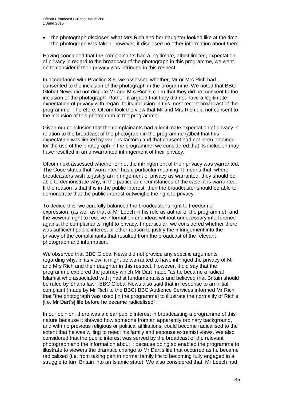• the photograph disclosed what Mrs Rich and her daughter looked like at the time the photograph was taken, however, it disclosed no other information about them.

Having concluded that the complainants had a legitimate, albeit limited, expectation of privacy in regard to the broadcast of the photograph in this programme, we went on to consider if their privacy was infringed in this respect.

In accordance with Practice 8.6, we assessed whether, Mr or Mrs Rich had consented to the inclusion of the photograph in the programme. We noted that BBC Global News did not dispute Mr and Mrs Rich's claim that they did not consent to the inclusion of the photograph. Rather, it argued that they did not have a legitimate expectation of privacy with regard to its inclusion in this most recent broadcast of the programme. Therefore, Ofcom took the view that Mr and Mrs Rich did not consent to the inclusion of this photograph in the programme.

Given our conclusion that the complainants had a legitimate expectation of privacy in relation to the broadcast of the photograph in the programme (albeit that this expectation was limited by various factors) and that consent had not been obtained for the use of the photograph in the programme, we considered that its inclusion may have resulted in an unwarranted infringement of their privacy.

Ofcom next assessed whether or not the infringement of their privacy was warranted. The Code states that "warranted" has a particular meaning. It means that, where broadcasters wish to justify an infringement of privacy as warranted, they should be able to demonstrate why, in the particular circumstances of the case, it is warranted. If the reason is that it is in the public interest, then the broadcaster should be able to demonstrate that the public interest outweighs the right to privacy.

To decide this, we carefully balanced the broadcaster's right to freedom of expression, (as well as that of Mr Leech in his role as author of the programme), and the viewers' right to receive information and ideas without unnecessary interference against the complainants' right to privacy. In particular, we considered whether there was sufficient public interest or other reason to justify the infringement into the privacy of the complainants that resulted from the broadcast of the relevant photograph and information.

We observed that BBC Global News did not provide any specific arguments regarding why, in its view, it might be warranted to have infringed the privacy of Mr and Mrs Rich and their daughter in this respect. However, it did say that the programme explored the journey which Mr Dart made "as he became a radical Islamist who associated with jihadist fundamentalists and believed that Britain should be ruled by Sharia law". BBC Global News also said that in response to an initial complaint (made by Mr Rich to the BBC) BBC Audience Services informed Mr Rich that "the photograph was used [in the programme] to illustrate the normality of Rich's [i.e. Mr Dart's] life before he became radicalised".

In our opinion, there was a clear public interest in broadcasting a programme of this nature because it showed how someone from an apparently ordinary background, and with no previous religious or political affiliations, could become radicalised to the extent that he was willing to reject his family and espouse extremist views. We also considered that the public interest was served by the broadcast of the relevant photograph and the information about it because doing so enabled the programme to illustrate to viewers the dramatic change to Mr Dart's life that occurred as he became radicalised (i.e. from taking part in normal family life to becoming fully engaged in a struggle to turn Britain into an Islamic state). We also considered that, Mr Leech had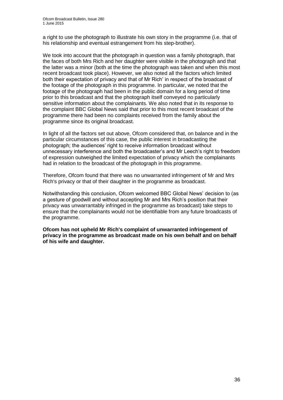a right to use the photograph to illustrate his own story in the programme (i.e. that of his relationship and eventual estrangement from his step-brother).

We took into account that the photograph in question was a family photograph, that the faces of both Mrs Rich and her daughter were visible in the photograph and that the latter was a minor (both at the time the photograph was taken and when this most recent broadcast took place). However, we also noted all the factors which limited both their expectation of privacy and that of Mr Rich' in respect of the broadcast of the footage of the photograph in this programme. In particular, we noted that the footage of the photograph had been in the public domain for a long period of time prior to this broadcast and that the photograph itself conveyed no particularly sensitive information about the complainants. We also noted that in its response to the complaint BBC Global News said that prior to this most recent broadcast of the programme there had been no complaints received from the family about the programme since its original broadcast.

In light of all the factors set out above, Ofcom considered that, on balance and in the particular circumstances of this case, the public interest in broadcasting the photograph; the audiences' right to receive information broadcast without unnecessary interference and both the broadcaster's and Mr Leech's right to freedom of expression outweighed the limited expectation of privacy which the complainants had in relation to the broadcast of the photograph in this programme.

Therefore, Ofcom found that there was no unwarranted infringement of Mr and Mrs Rich's privacy or that of their daughter in the programme as broadcast.

Notwithstanding this conclusion, Ofcom welcomed BBC Global News' decision to (as a gesture of goodwill and without accepting Mr and Mrs Rich's position that their privacy was unwarrantably infringed in the programme as broadcast) take steps to ensure that the complainants would not be identifiable from any future broadcasts of the programme.

**Ofcom has not upheld Mr Rich's complaint of unwarranted infringement of privacy in the programme as broadcast made on his own behalf and on behalf of his wife and daughter.**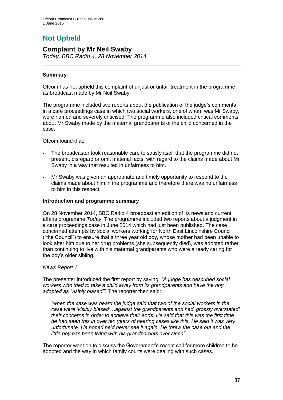# **Not Upheld**

# **Complaint by Mr Neil Swaby**

*Today, BBC Radio 4, 28 November 2014*

# **Summary**

Ofcom has not upheld this complaint of unjust or unfair treatment in the programme as broadcast made by Mr Neil Swaby.

The programme included two reports about the publication of the judge's comments in a care proceedings case in which two social workers, one of whom was Mr Swaby, were named and severely criticised. The programme also included critical comments about Mr Swaby made by the maternal grandparents of the child concerned in the case.

Ofcom found that:

- The broadcaster took reasonable care to satisfy itself that the programme did not present, disregard or omit material facts, with regard to the claims made about Mr Swaby in a way that resulted in unfairness to him.
- Mr Swaby was given an appropriate and timely opportunity to respond to the claims made about him in the programme and therefore there was no unfairness to him in this respect.

#### **Introduction and programme summary**

On 28 November 2014, BBC Radio 4 broadcast an edition of its news and current affairs programme *Today*. The programme included two reports about a judgment in a care proceedings case in June 2014 which had just been published. The case concerned attempts by social workers working for North East Lincolnshire Council ("the Council") to ensure that a three year old boy, whose mother had been unable to look after him due to her drug problems (she subsequently died), was adopted rather than continuing to live with his maternal grandparents who were already caring for the boy's older sibling.

#### *News Report 1*

The presenter introduced the first report by saying: *"A judge has described social workers who tried to take a child away from its grandparents and have the boy adopted as 'visibly biased'".* The reporter then said:

*"when the case was heard the judge said that two of the social workers in the case were 'visibly biased'…against the grandparents and had 'grossly overstated' their concerns in order to achieve their ends. He said that this was the first time he had seen this in over ten years of hearing cases like this. He said it was very unfortunate. He hoped he'd never see it again. He threw the case out and the little boy has been living with his grandparents ever since".* 

The reporter went on to discuss the Government's recent call for more children to be adopted and the way in which family courts were dealing with such cases.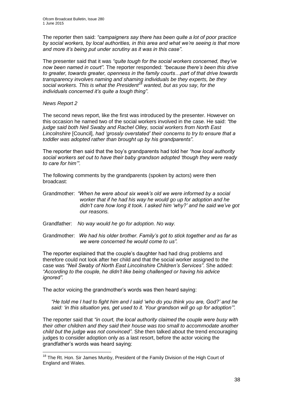The reporter then said: *"campaigners say there has been quite a lot of poor practice by social workers, by local authorities, in this area and what we're seeing is that more and more it's being put under scrutiny as it was in this case"*.

The presenter said that it was *"quite tough for the social workers concerned, they've now been named in court".* The reporter responded: *"because there's been this drive to greater, towards greater, openness in the family courts…part of that drive towards transparency involves naming and shaming individuals be they experts, be they social workers. This is what the President<sup>18</sup> wanted, but as you say, for the individuals concerned it's quite a tough thing"*.

*News Report 2*

1

The second news report, like the first was introduced by the presenter. However on this occasion he named two of the social workers involved in the case. He said: *"the judge said both Neil Swaby and Rachel Olley, social workers from North East Lincolnshire* [Council]*, had 'grossly overstated' their concerns to try to ensure that a toddler was adopted rather than brought up by his grandparents"*.

The reporter then said that the boy's grandparents had told her *"how local authority social workers set out to have their baby grandson adopted 'though they were ready to care for him'"*.

The following comments by the grandparents (spoken by actors) were then broadcast:

- Grandmother: *"When he were about six week's old we were informed by a social worker that if he had his way he would go up for adoption and he didn't care how long it took. I asked him 'why?' and he said we've got our reasons.*
- Grandfather: *No way would he go for adoption. No way.*
- Grandmother: *We had his older brother. Family's got to stick together and as far as we were concerned he would come to us".*

The reporter explained that the couple's daughter had had drug problems and therefore could not look after her child and that the social worker assigned to the case was *"Neil Swaby of North East Lincolnshire Children's Services"*. She added: *"According to the couple, he didn't like being challenged or having his advice ignored".* 

The actor voicing the grandmother's words was then heard saying:

*"He told me I had to fight him and I said 'who do you think you are, God?' and he said: 'in this situation yes, get used to it. Your grandson will go up for adoption'".* 

The reporter said that *"in court, the local authority claimed the couple were busy with their other children and they said their house was too small to accommodate another child but the judge was not convinced"*. She then talked about the trend encouraging judges to consider adoption only as a last resort, before the actor voicing the grandfather's words was heard saying:

<sup>&</sup>lt;sup>18</sup> The Rt. Hon. Sir James Munby, President of the Family Division of the High Court of England and Wales.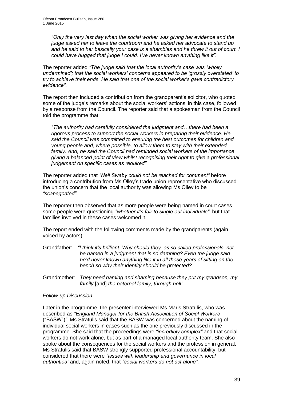*"Only the very last day when the social worker was giving her evidence and the judge asked her to leave the courtroom and he asked her advocate to stand up and he said to her basically your case is a shambles and he threw it out of court. I could have hugged that judge I could. I've never known anything like it".*

The reporter added *"The judge said that the local authority's case was 'wholly undermined'; that the social workers' concerns appeared to be 'grossly overstated' to try to achieve their ends. He said that one of the social worker's gave contradictory evidence".*

The report then included a contribution from the grandparent's solicitor, who quoted some of the judge's remarks about the social workers' actions' in this case, followed by a response from the Council. The reporter said that a spokesman from the Council told the programme that:

*"The authority had carefully considered the judgment and…there had been a rigorous process to support the social workers in preparing their evidence. He said the Council was committed to ensuring the best outcomes for children and young people and, where possible, to allow them to stay with their extended family. And, he said the Council had reminded social workers of the importance giving a balanced point of view whilst recognising their right to give a professional judgement on specific cases as required"*.

The reporter added that *"Neil Swaby could not be reached for comment"* before introducing a contribution from Ms Olley's trade union representative who discussed the union's concern that the local authority was allowing Ms Olley to be *"scapegoated"*.

The reporter then observed that as more people were being named in court cases some people were questioning *"whether it's fair to single out individuals"*, but that families involved in these cases welcomed it.

The report ended with the following comments made by the grandparents (again voiced by actors):

- Grandfather: *"I think it's brilliant. Why should they, as so called professionals, not be named in a judgment that is so damning? Even the judge said he'd never known anything like it in all those years of sitting on the bench so why their identity should be protected?*
- Grandmother: *They need naming and shaming because they put my grandson, my family* [and] *the paternal family, through hell"*.

## *Follow-up Discussion*

Later in the programme, the presenter interviewed Ms Maris Stratulis, who was described as *"England Manager for the British Association of Social Workers*  ("BASW")*"*. Ms Stratulis said that the BASW was concerned about the naming of individual social workers in cases such as the one previously discussed in the programme. She said that the proceedings were *"incredibly complex"* and that social workers do not work alone, but as part of a managed local authority team. She also spoke about the consequences for the social workers and the profession in general. Ms Stratulis said that BASW strongly supported professional accountability, but considered that there were *"issues with leadership and governance in local authorities"* and, again noted, that *"social workers do not act alone"*.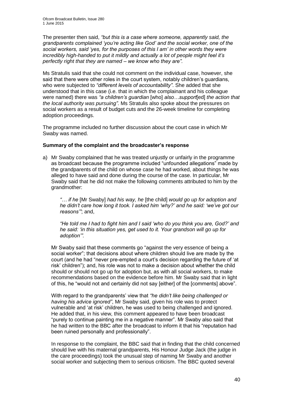The presenter then said, *"but this is a case where someone, apparently said, the grandparents complained 'you're acting like God' and the social worker, one of the social workers, said 'yes, for the purposes of this I am' in other words they were incredibly high-handed to put it mildly and actually a lot of people might feel it's perfectly right that they are named – we know who they are".* 

Ms Stratulis said that she could not comment on the individual case, however, she said that there were other roles in the court system, notably children's guardians, who were subjected to *"different levels of accountability"*. She added that she understood that in this case (i.e. that in which the complainant and his colleague were named) there was *"a children's guardian* [who] *also…support*[ed] *the action that the local authority was pursuing"*. Ms Stratulis also spoke about the pressures on social workers as a result of budget cuts and the 26-week timeline for completing adoption proceedings.

The programme included no further discussion about the court case in which Mr Swaby was named.

#### **Summary of the complaint and the broadcaster's response**

a) Mr Swaby complained that he was treated unjustly or unfairly in the programme as broadcast because the programme included "unfounded allegations" made by the grandparents of the child on whose case he had worked, about things he was alleged to have said and done during the course of the case. In particular, Mr Swaby said that he did not make the following comments attributed to him by the grandmother:

*"… if he* [Mr Swaby] *had his way, he* [the child] *would go up for adoption and he didn't care how long it took. I asked him 'why?' and he said: 'we've got our reasons'"*; and,

*"He told me I had to fight him and I said 'who do you think you are, God?' and he said: 'in this situation yes, get used to it. Your grandson will go up for adoption'".* 

Mr Swaby said that these comments go "against the very essence of being a social worker"; that decisions about where children should live are made by the court (and he had "never pre-empted a court's decision regarding the future of 'at risk' children"); and, his role was not to make a decision about whether the child should or should not go up for adoption but, as with all social workers, to make recommendations based on the evidence before him. Mr Swaby said that in light of this, he "would not and certainly did not say [either] of the [comments] above".

With regard to the grandparents' view that *"he didn't like being challenged or having his advice ignored"*, Mr Swaby said, given his role was to protect vulnerable and 'at risk' children, he was used to being challenged and ignored. He added that, in his view, this comment appeared to have been broadcast "purely to continue painting me in a negative manner". Mr Swaby also said that he had written to the BBC after the broadcast to inform it that his "reputation had been ruined personally and professionally".

In response to the complaint, the BBC said that in finding that the child concerned should live with his maternal grandparents, His Honour Judge Jack (the judge in the care proceedings) took the unusual step of naming Mr Swaby and another social worker and subjecting them to serious criticism. The BBC quoted several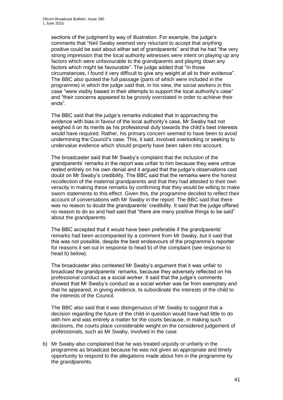sections of the judgment by way of illustration. For example, the judge's comments that "Neil Swaby seemed very reluctant to accept that anything positive could be said about either set of grandparents" and that he had "the very strong impression that the local authority witnesses were intent on playing up any factors which were unfavourable to the grandparents and playing down any factors which might be favourable". The judge added that "In those circumstances, I found it very difficult to give any weight at all to their evidence". The BBC also quoted the full passage (parts of which were included in the programme) in which the judge said that, in his view, the social workers in this case "were visibly biased in their attempts to support the local authority's case" and "their concerns appeared to be grossly overstated in order to achieve their ends".

The BBC said that the judge's remarks indicated that in approaching the evidence with bias in favour of the local authority's case, Mr Swaby had not weighed it on its merits as his professional duty towards the child's best interests would have required. Rather, his primary concern seemed to have been to avoid undermining the Council's case. This, it said, involved overlooking or seeking to undervalue evidence which should properly have been taken into account.

The broadcaster said that Mr Swaby's complaint that the inclusion of the grandparents' remarks in the report was unfair to him because they were untrue rested entirely on his own denial and it argued that the judge's observations cast doubt on Mr Swaby's credibility. The BBC said that the remarks were the honest recollection of the maternal grandparents and that they had attested to their own veracity in making these remarks by confirming that they would be willing to make sworn statements to this effect. Given this, the programme decided to reflect their account of conversations with Mr Swaby in the report. The BBC said that there was no reason to doubt the grandparents' credibility. It said that the judge offered no reason to do so and had said that "there are many positive things to be said" about the grandparents.

The BBC accepted that it would have been preferable if the grandparents' remarks had been accompanied by a comment from Mr Swaby, but it said that this was not possible, despite the best endeavours of the programme's reporter for reasons it set out in response to head b) of the complaint (see response to head b) below).

The broadcaster also contested Mr Swaby's argument that it was unfair to broadcast the grandparents' remarks, because they adversely reflected on his professional conduct as a social worker. It said that the judge's comments showed that Mr Swaby's conduct as a social worker was far from exemplary and that he appeared, in giving evidence, to subordinate the interests of the child to the interests of the Council.

The BBC also said that it was disingenuous of Mr Swaby to suggest that a decision regarding the future of the child in question would have had little to do with him and was entirely a matter for the courts because, in making such decisions, the courts place considerable weight on the considered judgement of professionals, such as Mr Swaby, involved in the case.

b) Mr Swaby also complained that he was treated unjustly or unfairly in the programme as broadcast because he was not given an appropriate and timely opportunity to respond to the allegations made about him in the programme by the grandparents.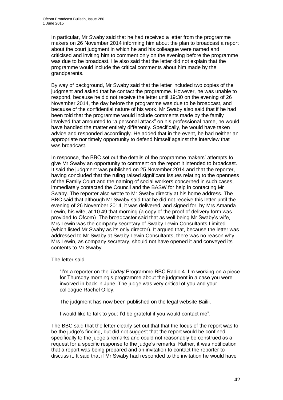In particular, Mr Swaby said that he had received a letter from the programme makers on 26 November 2014 informing him about the plan to broadcast a report about the court judgment in which he and his colleague were named and criticised and inviting him to comment only on the evening before the programme was due to be broadcast. He also said that the letter did not explain that the programme would include the critical comments about him made by the grandparents.

By way of background, Mr Swaby said that the letter included two copies of the judgment and asked that he contact the programme. However, he was unable to respond, because he did not receive the letter until 19:30 on the evening of 26 November 2014, the day before the programme was due to be broadcast, and because of the confidential nature of his work. Mr Swaby also said that if he had been told that the programme would include comments made by the family involved that amounted to "a personal attack" on his professional name, he would have handled the matter entirely differently. Specifically, he would have taken advice and responded accordingly. He added that in the event, he had neither an appropriate nor timely opportunity to defend himself against the interview that was broadcast.

In response, the BBC set out the details of the programme makers' attempts to give Mr Swaby an opportunity to comment on the report it intended to broadcast. It said the judgment was published on 25 November 2014 and that the reporter, having concluded that the ruling raised significant issues relating to the openness of the Family Court and the naming of social workers concerned in such cases, immediately contacted the Council and the BASW for help in contacting Mr Swaby. The reporter also wrote to Mr Swaby directly at his home address. The BBC said that although Mr Swaby said that he did not receive this letter until the evening of 26 November 2014, it was delivered, and signed for, by Mrs Amanda Lewin, his wife, at 10.49 that morning (a copy of the proof of delivery form was provided to Ofcom). The broadcaster said that as well being Mr Swaby's wife, Mrs Lewin was the company secretary of Swaby Lewin Consultants Limited (which listed Mr Swaby as its only director). It argued that, because the letter was addressed to Mr Swaby at Swaby Lewin Consultants, there was no reason why Mrs Lewin, as company secretary, should not have opened it and conveyed its contents to Mr Swaby.

The letter said:

"I'm a reporter on the *Today* Programme BBC Radio 4. I'm working on a piece for Thursday morning's programme about the judgment in a case you were involved in back in June. The judge was very critical of you and your colleague Rachel Olley.

The judgment has now been published on the legal website Bailii.

I would like to talk to you: I'd be grateful if you would contact me".

The BBC said that the letter clearly set out that that the focus of the report was to be the judge's finding, but did not suggest that the report would be confined specifically to the judge's remarks and could not reasonably be construed as a request for a specific response to the judge's remarks. Rather, it was notification that a report was being prepared and an invitation to contact the reporter to discuss it. It said that if Mr Swaby had responded to the invitation he would have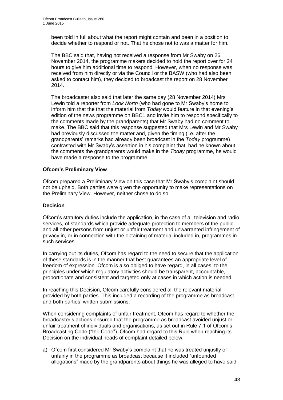been told in full about what the report might contain and been in a position to decide whether to respond or not. That he chose not to was a matter for him.

The BBC said that, having not received a response from Mr Swaby on 26 November 2014, the programme makers decided to hold the report over for 24 hours to give him additional time to respond. However, when no response was received from him directly or via the Council or the BASW (who had also been asked to contact him), they decided to broadcast the report on 28 November 2014.

The broadcaster also said that later the same day (28 November 2014) Mrs Lewin told a reporter from *Look North* (who had gone to Mr Swaby's home to inform him that the that the material from *Today* would feature in that evening's edition of the news programme on BBC1 and invite him to respond specifically to the comments made by the grandparents) that Mr Swaby had no comment to make. The BBC said that this response suggested that Mrs Lewin and Mr Swaby had previously discussed the matter and, given the timing (i.e. after the grandparents' remarks had already been broadcast in the *Today* programme) contrasted with Mr Swaby's assertion in his complaint that, had he known about the comments the grandparents would make in the *Today* programme, he would have made a response to the programme.

## **Ofcom's Preliminary View**

Ofcom prepared a Preliminary View on this case that Mr Swaby's complaint should not be upheld. Both parties were given the opportunity to make representations on the Preliminary View. However, neither chose to do so.

## **Decision**

Ofcom's statutory duties include the application, in the case of all television and radio services, of standards which provide adequate protection to members of the public and all other persons from unjust or unfair treatment and unwarranted infringement of privacy in, or in connection with the obtaining of material included in, programmes in such services.

In carrying out its duties, Ofcom has regard to the need to secure that the application of these standards is in the manner that best guarantees an appropriate level of freedom of expression. Ofcom is also obliged to have regard, in all cases, to the principles under which regulatory activities should be transparent, accountable, proportionate and consistent and targeted only at cases in which action is needed.

In reaching this Decision, Ofcom carefully considered all the relevant material provided by both parties. This included a recording of the programme as broadcast and both parties' written submissions.

When considering complaints of unfair treatment, Ofcom has regard to whether the broadcaster's actions ensured that the programme as broadcast avoided unjust or unfair treatment of individuals and organisations, as set out in Rule 7.1 of Ofcom's Broadcasting Code ("the Code"). Ofcom had regard to this Rule when reaching its Decision on the individual heads of complaint detailed below.

a) Ofcom first considered Mr Swaby's complaint that he was treated unjustly or unfairly in the programme as broadcast because it included "unfounded allegations" made by the grandparents about things he was alleged to have said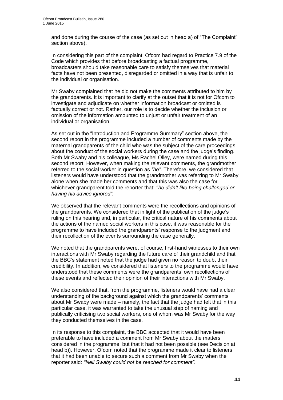and done during the course of the case (as set out in head a) of "The Complaint" section above).

In considering this part of the complaint, Ofcom had regard to Practice 7.9 of the Code which provides that before broadcasting a factual programme, broadcasters should take reasonable care to satisfy themselves that material facts have not been presented, disregarded or omitted in a way that is unfair to the individual or organisation.

Mr Swaby complained that he did not make the comments attributed to him by the grandparents. It is important to clarify at the outset that it is not for Ofcom to investigate and adjudicate on whether information broadcast or omitted is factually correct or not. Rather, our role is to decide whether the inclusion or omission of the information amounted to unjust or unfair treatment of an individual or organisation.

As set out in the "Introduction and Programme Summary" section above, the second report in the programme included a number of comments made by the maternal grandparents of the child who was the subject of the care proceedings about the conduct of the social workers during the case and the judge's finding. Both Mr Swaby and his colleague, Ms Rachel Olley, were named during this second report. However, when making the relevant comments, the grandmother referred to the social worker in question as *"he"*. Therefore, we considered that listeners would have understood that the grandmother was referring to Mr Swaby alone when she made her comments and that this was also the case for whichever grandparent told the reporter that: *"he didn't like being challenged or having his advice ignored"*.

We observed that the relevant comments were the recollections and opinions of the grandparents. We considered that in light of the publication of the judge's ruling on this hearing and, in particular, the critical nature of his comments about the actions of the named social workers in this case, it was reasonable for the programme to have included the grandparents' response to the judgment and their recollection of the events surrounding the case generally.

We noted that the grandparents were, of course, first-hand witnesses to their own interactions with Mr Swaby regarding the future care of their grandchild and that the BBC's statement noted that the judge had given no reason to doubt their credibility. In addition, we considered that listeners to the programme would have understood that these comments were the grandparents' own recollections of these events and reflected their opinion of their interactions with Mr Swaby.

We also considered that, from the programme, listeners would have had a clear understanding of the background against which the grandparents' comments about Mr Swaby were made – namely, the fact that the judge had felt that in this particular case, it was warranted to take the unusual step of naming and publically criticising two social workers, one of whom was Mr Swaby for the way they conducted themselves in the case.

In its response to this complaint, the BBC accepted that it would have been preferable to have included a comment from Mr Swaby about the matters considered in the programme, but that it had not been possible (see Decision at head b)). However, Ofcom noted that the programme made it clear to listeners that it had been unable to secure such a comment from Mr Swaby when the reporter said: *"Neil Swaby could not be reached for comment"*.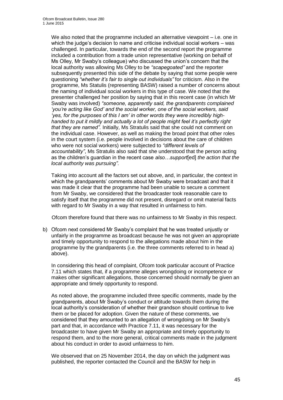We also noted that the programme included an alternative viewpoint – i.e. one in which the judge's decision to name and criticise individual social workers – was challenged. In particular, towards the end of the second report the programme included a contribution from a trade union representative (working on behalf of Ms Olley, Mr Swaby's colleague) who discussed the union's concern that the local authority was allowing Ms Olley to be *"scapegoated"* and the reporter subsequently presented this side of the debate by saying that some people were questioning *"whether it's fair to single out individuals"* for criticism. Also in the programme, Ms Statulis (representing BASW) raised a number of concerns about the naming of individual social workers in this type of case. We noted that the presenter challenged her position by saying that in this recent case (in which Mr Swaby was involved) *"someone, apparently said, the grandparents complained 'you're acting like God' and the social worker, one of the social workers, said 'yes, for the purposes of this I am' in other words they were incredibly highhanded to put it mildly and actually a lot of people might feel it's perfectly right that they are named".* Initially, Ms Stratulis said that she could not comment on the individual case. However, as well as making the broad point that other roles in the court system (i.e. people involved in decisions about the care of children who were not social workers) were subjected to *"different levels of accountability"*, Ms Stratulis also said that she understood that the person acting as the children's guardian in the recent case *also…support*[ed] *the action that the local authority was pursuing"*.

Taking into account all the factors set out above, and, in particular, the context in which the grandparents' comments about Mr Swaby were broadcast and that it was made it clear that the programme had been unable to secure a comment from Mr Swaby, we considered that the broadcaster took reasonable care to satisfy itself that the programme did not present, disregard or omit material facts with regard to Mr Swaby in a way that resulted in unfairness to him.

Ofcom therefore found that there was no unfairness to Mr Swaby in this respect.

b) Ofcom next considered Mr Swaby's complaint that he was treated unjustly or unfairly in the programme as broadcast because he was not given an appropriate and timely opportunity to respond to the allegations made about him in the programme by the grandparents (i.e. the three comments referred to in head a) above).

In considering this head of complaint, Ofcom took particular account of Practice 7.11 which states that, if a programme alleges wrongdoing or incompetence or makes other significant allegations, those concerned should normally be given an appropriate and timely opportunity to respond.

As noted above, the programme included three specific comments, made by the grandparents, about Mr Swaby's conduct or attitude towards them during the local authority's consideration of whether their grandson should continue to live them or be placed for adoption. Given the nature of these comments, we considered that they amounted to an allegation of wrongdoing on Mr Swaby's part and that, in accordance with Practice 7.11, it was necessary for the broadcaster to have given Mr Swaby an appropriate and timely opportunity to respond them, and to the more general, critical comments made in the judgment about his conduct in order to avoid unfairness to him.

We observed that on 25 November 2014, the day on which the judgment was published, the reporter contacted the Council and the BASW for help in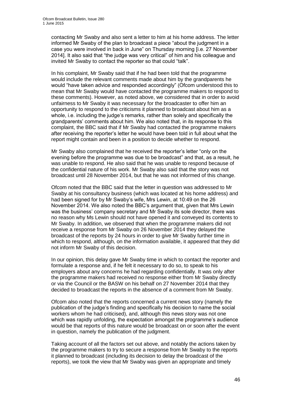contacting Mr Swaby and also sent a letter to him at his home address. The letter informed Mr Swaby of the plan to broadcast a piece "about the judgment in a case you were involved in back in June" on Thursday morning [i.e. 27 November 2014]. It also said that "the judge was very critical" of him and his colleague and invited Mr Swaby to contact the reporter so that could "talk".

In his complaint, Mr Swaby said that if he had been told that the programme would include the relevant comments made about him by the grandparents he would "have taken advice and responded accordingly" (Ofcom understood this to mean that Mr Swaby would have contacted the programme makers to respond to these comments). However, as noted above, we considered that in order to avoid unfairness to Mr Swaby it was necessary for the broadcaster to offer him an opportunity to respond to the criticisms it planned to broadcast about him as a whole, i.e. including the judge's remarks, rather than solely and specifically the grandparents' comments about him. We also noted that, in its response to this complaint, the BBC said that if Mr Swaby had contacted the programme makers after receiving the reporter's letter he would have been told in full about what the report might contain and been in a position to decide whether to respond.

Mr Swaby also complained that he received the reporter's letter "only on the evening before the programme was due to be broadcast" and that, as a result, he was unable to respond. He also said that he was unable to respond because of the confidential nature of his work. Mr Swaby also said that the story was not broadcast until 28 November 2014, but that he was not informed of this change.

Ofcom noted that the BBC said that the letter in question was addressed to Mr Swaby at his consultancy business (which was located at his home address) and had been signed for by Mr Swaby's wife, Mrs Lewin, at 10:49 on the 26 November 2014. We also noted the BBC's argument that, given that Mrs Lewin was the business' company secretary and Mr Swaby its sole director, there was no reason why Ms Lewin should not have opened it and conveyed its contents to Mr Swaby. In addition, we observed that when the programme makers did not receive a response from Mr Swaby on 26 November 2014 they delayed the broadcast of the reports by 24 hours in order to give Mr Swaby further time in which to respond, although, on the information available, it appeared that they did not inform Mr Swaby of this decision.

In our opinion, this delay gave Mr Swaby time in which to contact the reporter and formulate a response and, if he felt it necessary to do so, to speak to his employers about any concerns he had regarding confidentially. It was only after the programme makers had received no response either from Mr Swaby directly or via the Council or the BASW on his behalf on 27 November 2014 that they decided to broadcast the reports in the absence of a comment from Mr Swaby.

Ofcom also noted that the reports concerned a current news story (namely the publication of the judge's finding and specifically his decision to name the social workers whom he had criticised), and, although this news story was not one which was rapidly unfolding, the expectation amongst the programme's audience would be that reports of this nature would be broadcast on or soon after the event in question, namely the publication of the judgment.

Taking account of all the factors set out above, and notably the actions taken by the programme makers to try to secure a response from Mr Swaby to the reports it planned to broadcast (including its decision to delay the broadcast of the reports), we took the view that Mr Swaby was given an appropriate and timely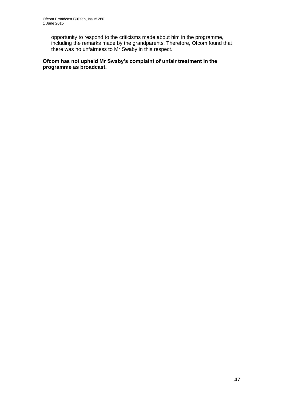opportunity to respond to the criticisms made about him in the programme, including the remarks made by the grandparents. Therefore, Ofcom found that there was no unfairness to Mr Swaby in this respect.

# **Ofcom has not upheld Mr Swaby's complaint of unfair treatment in the programme as broadcast.**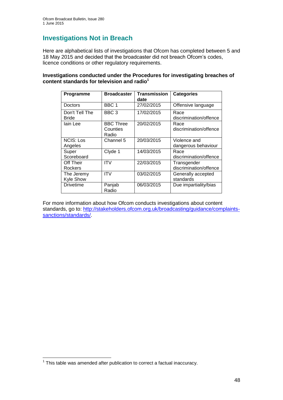# **Investigations Not in Breach**

Here are alphabetical lists of investigations that Ofcom has completed between 5 and 18 May 2015 and decided that the broadcaster did not breach Ofcom's codes, licence conditions or other regulatory requirements.

## **Investigations conducted under the Procedures for investigating breaches of content standards for television and radio<sup>1</sup>**

| Programme                      | <b>Broadcaster</b>                    | <b>Transmission</b> | <b>Categories</b>                     |
|--------------------------------|---------------------------------------|---------------------|---------------------------------------|
|                                |                                       | date                |                                       |
| Doctors                        | BBC 1                                 | 27/02/2015          | Offensive language                    |
| Don't Tell The<br>Bride        | BBC <sub>3</sub>                      | 17/02/2015          | Race<br>discrimination/offence        |
| lain Lee                       | <b>BBC Three</b><br>Counties<br>Radio | 20/02/2015          | Race<br>discrimination/offence        |
| <b>NCIS: Los</b><br>Angeles    | Channel 5                             | 20/03/2015          | Violence and<br>dangerous behaviour   |
| Super<br>Scoreboard            | Clyde 1                               | 14/03/2015          | Race<br>discrimination/offence        |
| Off Their<br>Rockers           | <b>ITV</b>                            | 22/03/2015          | Transgender<br>discrimination/offence |
| The Jeremy<br><b>Kyle Show</b> | <b>ITV</b>                            | 03/02/2015          | Generally accepted<br>standards       |
| <b>Drivetime</b>               | Panjab<br>Radio                       | 06/03/2015          | Due impartiality/bias                 |

For more information about how Ofcom conducts investigations about content standards, go to: [http://stakeholders.ofcom.org.uk/broadcasting/guidance/complaints](http://stakeholders.ofcom.org.uk/broadcasting/guidance/complaints-sanctions/standards/)[sanctions/standards/.](http://stakeholders.ofcom.org.uk/broadcasting/guidance/complaints-sanctions/standards/)

 1 This table was amended after publication to correct a factual inaccuracy.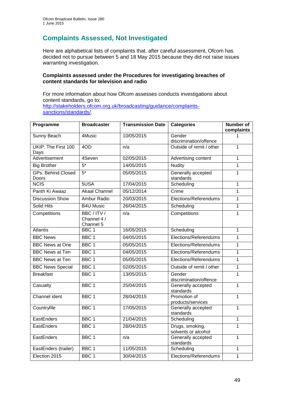# **Complaints Assessed, Not Investigated**

Here are alphabetical lists of complaints that, after careful assessment, Ofcom has decided not to pursue between 5 and 18 May 2015 because they did not raise issues warranting investigation.

## **Complaints assessed under the Procedures for investigating breaches of content standards for television and radio**

For more information about how Ofcom assesses conducts investigations about content standards, go to: [http://stakeholders.ofcom.org.uk/broadcasting/guidance/complaints](http://stakeholders.ofcom.org.uk/broadcasting/guidance/complaints-sanctions/standards/)[sanctions/standards/.](http://stakeholders.ofcom.org.uk/broadcasting/guidance/complaints-sanctions/standards/)

| Programme                          | <b>Broadcaster</b>                   | <b>Transmission Date</b> | <b>Categories</b>                      | <b>Number of</b><br>complaints |
|------------------------------------|--------------------------------------|--------------------------|----------------------------------------|--------------------------------|
| <b>Sunny Beach</b>                 | 4Music                               | 10/05/2015               | Gender<br>discrimination/offence       | 1                              |
| <b>UKIP: The First 100</b><br>Days | 4OD                                  | n/a                      | Outside of remit / other               | 1                              |
| Advertisement                      | 4Seven                               | 02/05/2015               | Advertising content                    | $\mathbf{1}$                   |
| <b>Big Brother</b>                 | $5*$                                 | 14/05/2015               | Nudity                                 | $\mathbf{1}$                   |
| <b>GPs: Behind Closed</b><br>Doors | $5*$                                 | 05/05/2015               | Generally accepted<br>standards        | $\overline{1}$                 |
| <b>NCIS</b>                        | 5USA                                 | 17/04/2015               | Scheduling                             | $\overline{1}$                 |
| Panth Ki Awaaz                     | <b>Akaal Channel</b>                 | 05/12/2014               | Crime                                  | $\overline{1}$                 |
| <b>Discussion Show</b>             | <b>Ambur Radio</b>                   | 20/03/2015               | Elections/Referendums                  | $\mathbf{1}$                   |
| <b>Solid Hits</b>                  | <b>B4U Music</b>                     | 26/04/2015               | Scheduling                             | $\overline{1}$                 |
| Competitions                       | BBC/ITV/<br>Channel 4 /<br>Channel 5 | n/a                      | Competitions                           | $\mathbf{1}$                   |
| <b>Atlantis</b>                    | BBC <sub>1</sub>                     | 16/05/2015               | Scheduling                             | $\overline{1}$                 |
| <b>BBC News</b>                    | BBC <sub>1</sub>                     | 04/05/2015               | Elections/Referendums                  | 1                              |
| <b>BBC News at One</b>             | BBC <sub>1</sub>                     | 05/05/2015               | Elections/Referendums                  | $\mathbf{1}$                   |
| <b>BBC News at Ten</b>             | BBC <sub>1</sub>                     | 04/05/2015               | Elections/Referendums                  | $\mathbf{1}$                   |
| <b>BBC News at Ten</b>             | BBC <sub>1</sub>                     | 05/05/2015               | Elections/Referendums                  | $\mathbf 1$                    |
| <b>BBC News Special</b>            | BBC <sub>1</sub>                     | 02/05/2015               | Outside of remit / other               | $\mathbf{1}$                   |
| <b>Breakfast</b>                   | BBC <sub>1</sub>                     | 13/05/2015               | Gender<br>discrimination/offence       | $\overline{1}$                 |
| Casualty                           | BBC <sub>1</sub>                     | 25/04/2015               | Generally accepted<br>standards        | $\overline{1}$                 |
| Channel ident                      | BBC <sub>1</sub>                     | 28/04/2015               | Promotion of<br>products/services      | $\mathbf{1}$                   |
| Countryfile                        | BBC <sub>1</sub>                     | 17/05/2015               | Generally accepted<br>standards        | $\mathbf{1}$                   |
| EastEnders                         | BBC <sub>1</sub>                     | 21/04/2015               | Scheduling                             | $\mathbf{1}$                   |
| EastEnders                         | BBC <sub>1</sub>                     | 28/04/2015               | Drugs, smoking,<br>solvents or alcohol | $\overline{1}$                 |
| EastEnders                         | BBC <sub>1</sub>                     | n/a                      | Generally accepted<br>standards        | $\overline{1}$                 |
| EastEnders (trailer)               | BBC <sub>1</sub>                     | 11/05/2015               | Scheduling                             | $\mathbf{1}$                   |
| Election 2015                      | BBC <sub>1</sub>                     | 30/04/2015               | Elections/Referendums                  | $\overline{1}$                 |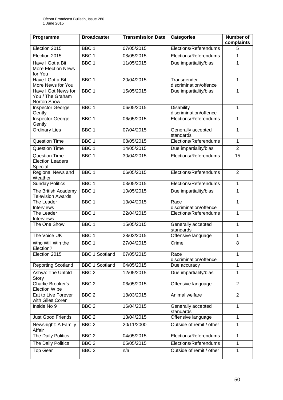| Programme                                                  | <b>Broadcaster</b>    | <b>Transmission Date</b> | <b>Categories</b>                     | Number of<br>complaints |
|------------------------------------------------------------|-----------------------|--------------------------|---------------------------------------|-------------------------|
| Election 2015                                              | BBC <sub>1</sub>      | 07/05/2015               | Elections/Referendums                 | 5                       |
| Election 2015                                              | BBC <sub>1</sub>      | 08/05/2015               | Elections/Referendums                 | 1                       |
| Have I Got a Bit<br><b>More Election News</b><br>for You   | BBC <sub>1</sub>      | 11/05/2015               | Due impartiality/bias                 | $\mathbf{1}$            |
| Have I Got a Bit<br>More News for You                      | BBC <sub>1</sub>      | 20/04/2015               | Transgender<br>discrimination/offence | $\mathbf{1}$            |
| Have I Got News for<br>You / The Graham<br>Norton Show     | BBC <sub>1</sub>      | 15/05/2015               | Due impartiality/bias                 | $\mathbf{1}$            |
| Inspector George<br>Gently                                 | BBC <sub>1</sub>      | 06/05/2015               | Disability<br>discrimination/offence  | 1                       |
| Inspector George<br>Gently                                 | BBC <sub>1</sub>      | 06/05/2015               | Elections/Referendums                 | $\mathbf{1}$            |
| <b>Ordinary Lies</b>                                       | BBC <sub>1</sub>      | 07/04/2015               | Generally accepted<br>standards       | 1                       |
| <b>Question Time</b>                                       | BBC <sub>1</sub>      | 08/05/2015               | Elections/Referendums                 | $\mathbf{1}$            |
| <b>Question Time</b>                                       | BBC <sub>1</sub>      | 14/05/2015               | Due impartiality/bias                 | $\overline{2}$          |
| <b>Question Time</b><br><b>Election Leaders</b><br>Special | BBC <sub>1</sub>      | 30/04/2015               | Elections/Referendums                 | 15                      |
| Regional News and<br>Weather                               | BBC <sub>1</sub>      | 06/05/2015               | Elections/Referendums                 | $\overline{2}$          |
| <b>Sunday Politics</b>                                     | BBC <sub>1</sub>      | 03/05/2015               | Elections/Referendums                 | $\mathbf{1}$            |
| The British Academy<br><b>Television Awards</b>            | BBC <sub>1</sub>      | 10/05/2015               | Due impartiality/bias                 | $\mathbf{1}$            |
| The Leader<br>Interviews                                   | BBC <sub>1</sub>      | 13/04/2015               | Race<br>discrimination/offence        | $\mathbf{1}$            |
| The Leader<br>Interviews                                   | BBC <sub>1</sub>      | 22/04/2015               | Elections/Referendums                 | $\mathbf{1}$            |
| The One Show                                               | BBC <sub>1</sub>      | 15/05/2015               | Generally accepted<br>standards       | $\mathbf{1}$            |
| The Voice UK                                               | BBC <sub>1</sub>      | 28/03/2015               | Offensive language                    | 1                       |
| Who Will Win the<br>Election?                              | BBC <sub>1</sub>      | 27/04/2015               | Crime                                 | 8                       |
| Election 2015                                              | <b>BBC 1 Scotland</b> | 07/05/2015               | Race<br>discrimination/offence        | 1                       |
| <b>Reporting Scotland</b>                                  | <b>BBC 1 Scotland</b> | 04/05/2015               | Due accuracy                          | 1                       |
| Ashya: The Untold<br>Story                                 | BBC <sub>2</sub>      | 12/05/2015               | Due impartiality/bias                 | 1                       |
| Charlie Brooker's<br><b>Election Wipe</b>                  | BBC <sub>2</sub>      | 06/05/2015               | Offensive language                    | $\overline{2}$          |
| Eat to Live Forever<br>with Giles Coren                    | BBC <sub>2</sub>      | 18/03/2015               | Animal welfare                        | $\overline{2}$          |
| Inside No 9                                                | BBC <sub>2</sub>      | 16/04/2015               | Generally accepted<br>standards       | 1                       |
| <b>Just Good Friends</b>                                   | BBC <sub>2</sub>      | 13/04/2015               | Offensive language                    | $\mathbf{1}$            |
| Newsnight: A Family<br>Affair                              | BBC <sub>2</sub>      | 20/11/2000               | Outside of remit / other              | 1                       |
| The Daily Politics                                         | BBC <sub>2</sub>      | 04/05/2015               | Elections/Referendums                 | $\mathbf{1}$            |
| The Daily Politics                                         | BBC <sub>2</sub>      | 05/05/2015               | Elections/Referendums                 | 1                       |
| <b>Top Gear</b>                                            | BBC <sub>2</sub>      | n/a                      | Outside of remit / other              | $\mathbf{1}$            |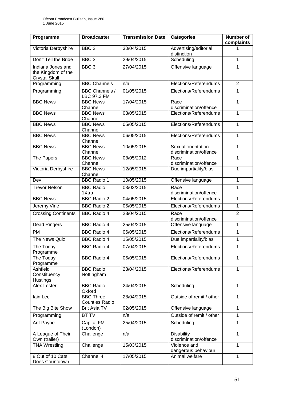| Programme                                                       | <b>Broadcaster</b>                        | <b>Transmission Date</b> | <b>Categories</b>                            | Number of<br>complaints |
|-----------------------------------------------------------------|-------------------------------------------|--------------------------|----------------------------------------------|-------------------------|
| Victoria Derbyshire                                             | BBC <sub>2</sub>                          | 30/04/2015               | Advertising/editorial<br>distinction         | 1                       |
| Don't Tell the Bride                                            | BBC <sub>3</sub>                          | 29/04/2015               | Scheduling                                   | $\mathbf{1}$            |
| Indiana Jones and<br>the Kingdom of the<br><b>Crystal Skull</b> | BBC <sub>3</sub>                          | 27/04/2015               | Offensive language                           | 1                       |
| Programming                                                     | <b>BBC Channels</b>                       | n/a                      | Elections/Referendums                        | $\overline{2}$          |
| Programming                                                     | <b>BBC Channels /</b><br>LBC 97.3 FM      | 01/05/2015               | Elections/Referendums                        | 1                       |
| <b>BBC News</b>                                                 | <b>BBC News</b><br>Channel                | 17/04/2015               | Race<br>discrimination/offence               | $\mathbf{1}$            |
| <b>BBC News</b>                                                 | <b>BBC News</b><br>Channel                | 03/05/2015               | Elections/Referendums                        | $\mathbf{1}$            |
| <b>BBC News</b>                                                 | <b>BBC News</b><br>Channel                | 05/05/2015               | Elections/Referendums                        | $\mathbf{1}$            |
| <b>BBC News</b>                                                 | <b>BBC News</b><br>Channel                | 06/05/2015               | Elections/Referendums                        | $\mathbf{1}$            |
| <b>BBC News</b>                                                 | <b>BBC News</b><br>Channel                | 10/05/2015               | Sexual orientation<br>discrimination/offence | $\mathbf{1}$            |
| The Papers                                                      | <b>BBC News</b><br>Channel                | 08/05/2012               | Race<br>discrimination/offence               | $\mathbf{1}$            |
| Victoria Derbyshire                                             | <b>BBC News</b><br>Channel                | 12/05/2015               | Due impartiality/bias                        | $\mathbf{1}$            |
| Dev                                                             | <b>BBC Radio 1</b>                        | 10/05/2015               | Offensive language                           | $\mathbf{1}$            |
| <b>Trevor Nelson</b>                                            | <b>BBC Radio</b><br>1Xtra                 | 03/03/2015               | Race<br>discrimination/offence               | 1                       |
| <b>BBC News</b>                                                 | <b>BBC Radio 2</b>                        | 04/05/2015               | Elections/Referendums                        | 1                       |
| Jeremy Vine                                                     | <b>BBC Radio 2</b>                        | 05/05/2015               | Elections/Referendums                        | $\mathbf{1}$            |
| <b>Crossing Continents</b>                                      | <b>BBC Radio 4</b>                        | 23/04/2015               | Race<br>discrimination/offence               | $\overline{2}$          |
| <b>Dead Ringers</b>                                             | <b>BBC Radio 4</b>                        | 25/04/2015               | Offensive language                           | $\mathbf{1}$            |
| PM                                                              | <b>BBC Radio 4</b>                        | 06/05/2015               | Elections/Referendums                        | $\mathbf{1}$            |
| The News Quiz                                                   | <b>BBC Radio 4</b>                        | 15/05/2015               | Due impartiality/bias                        | 1                       |
| The Today<br>Programme                                          | <b>BBC Radio 4</b>                        | 07/04/2015               | Elections/Referendums                        | $\mathbf{1}$            |
| The Today<br>Programme                                          | <b>BBC Radio 4</b>                        | 06/05/2015               | Elections/Referendums                        | 1                       |
| Ashfield<br>Constituency<br><b>Hustings</b>                     | <b>BBC Radio</b><br>Nottingham            | 23/04/2015               | Elections/Referendums                        | $\mathbf{1}$            |
| Alex Lester                                                     | <b>BBC Radio</b><br>Oxford                | 24/04/2015               | Scheduling                                   | $\mathbf{1}$            |
| lain Lee                                                        | <b>BBC Three</b><br><b>Counties Radio</b> | 28/04/2015               | Outside of remit / other                     | $\mathbf{1}$            |
| The Big Bite Show                                               | <b>Brit Asia TV</b>                       | 02/05/2015               | Offensive language                           | 1                       |
| Programming                                                     | <b>BT TV</b>                              | n/a                      | Outside of remit / other                     | $\mathbf{1}$            |
| Ant Payne                                                       | Capital FM<br>(London)                    | 25/04/2015               | Scheduling                                   | $\mathbf{1}$            |
| A League of Their<br>Own (trailer)                              | Challenge                                 | n/a                      | <b>Disability</b><br>discrimination/offence  | $\overline{1}$          |
| <b>TNA Wrestling</b>                                            | Challenge                                 | 15/03/2015               | Violence and<br>dangerous behaviour          | $\mathbf{1}$            |
| 8 Out of 10 Cats<br>Does Countdown                              | Channel 4                                 | 17/05/2015               | Animal welfare                               | 1                       |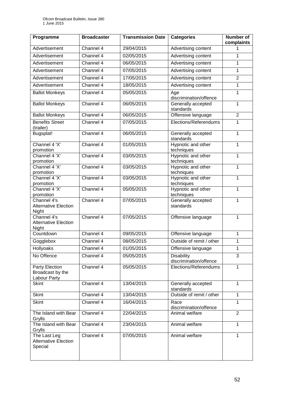| Programme                                              | <b>Broadcaster</b> | <b>Transmission Date</b> | <b>Categories</b>                           | <b>Number of</b><br>complaints |
|--------------------------------------------------------|--------------------|--------------------------|---------------------------------------------|--------------------------------|
| Advertisement                                          | Channel 4          | 29/04/2015               | Advertising content                         |                                |
| Advertisement                                          | Channel 4          | 02/05/2015               | Advertising content                         | 1                              |
| Advertisement                                          | Channel 4          | 06/05/2015               | <b>Advertising content</b>                  | $\mathbf{1}$                   |
| Advertisement                                          | Channel 4          | 07/05/2015               | Advertising content                         | 1                              |
| Advertisement                                          | Channel 4          | 17/05/2015               | Advertising content                         | $\overline{2}$                 |
| Advertisement                                          | Channel 4          | 18/05/2015               | Advertising content                         | $\mathbf{1}$                   |
| <b>Ballot Monkeys</b>                                  | Channel 4          | 05/05/2015               | Age<br>discrimination/offence               | 1                              |
| <b>Ballot Monkeys</b>                                  | Channel 4          | 06/05/2015               | Generally accepted<br>standards             | $\mathbf{1}$                   |
| <b>Ballot Monkeys</b>                                  | Channel 4          | 06/05/2015               | Offensive language                          | $\overline{2}$                 |
| <b>Benefits Street</b><br>(trailer)                    | Channel 4          | 07/05/2015               | Elections/Referendums                       | $\mathbf{1}$                   |
| Bugsplat!                                              | Channel $4$        | 06/05/2015               | Generally accepted<br>standards             | $\mathbf{1}$                   |
| Channel 4 'X'<br>promotion                             | Channel 4          | 01/05/2015               | Hypnotic and other<br>techniques            | $\mathbf{1}$                   |
| Channel 4 'X'<br>promotion                             | Channel $4$        | 03/05/2015               | Hypnotic and other<br>techniques            | $\mathbf{1}$                   |
| Channel 4 'X'<br>promotion                             | Channel 4          | 03/05/2015               | Hypnotic and other<br>techniques            | $\mathbf{1}$                   |
| Channel 4 'X'<br>promotion                             | Channel 4          | 03/05/2015               | Hypnotic and other<br>techniques            | 1                              |
| Channel 4 'X'<br>promotion                             | Channel 4          | 05/05/2015               | Hypnotic and other<br>techniques            | 1                              |
| Channel 4's<br><b>Alternative Election</b><br>Night    | Channel 4          | 07/05/2015               | Generally accepted<br>standards             | $\mathbf{1}$                   |
| Channel 4's<br><b>Alternative Election</b><br>Night    | Channel 4          | 07/05/2015               | Offensive language                          | 1                              |
| Countdown                                              | Channel 4          | 09/05/2015               | Offensive language                          | $\mathbf{1}$                   |
| Gogglebox                                              | Channel 4          | 08/05/2015               | Outside of remit / other                    | 1                              |
| Hollyoaks                                              | Channel 4          | 01/05/2015               | Offensive language                          | 1                              |
| No Offence                                             | Channel 4          | 05/05/2015               | <b>Disability</b><br>discrimination/offence | 3                              |
| Party Election<br>Broadcast by the<br>Labour Party     | Channel 4          | 05/05/2015               | Elections/Referendums                       | $\mathbf{1}$                   |
| <b>Skint</b>                                           | Channel 4          | 13/04/2015               | Generally accepted<br>standards             | $\mathbf{1}$                   |
| <b>Skint</b>                                           | Channel 4          | 13/04/2015               | Outside of remit / other                    | $\mathbf{1}$                   |
| <b>Skint</b>                                           | Channel 4          | 16/04/2015               | Race<br>discrimination/offence              | $\mathbf{1}$                   |
| The Island with Bear<br>Grylls                         | Channel 4          | 22/04/2015               | Animal welfare                              | $\overline{2}$                 |
| The Island with Bear<br>Grylls                         | Channel 4          | 23/04/2015               | Animal welfare                              | $\mathbf{1}$                   |
| The Last Leg<br><b>Alternative Election</b><br>Special | Channel 4          | 07/05/2015               | Animal welfare                              | $\mathbf{1}$                   |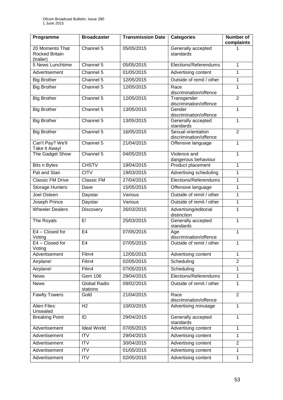| Programme                                             | <b>Broadcaster</b>       | <b>Transmission Date</b> | <b>Categories</b>                            | Number of<br>complaints |
|-------------------------------------------------------|--------------------------|--------------------------|----------------------------------------------|-------------------------|
| 20 Moments That<br><b>Rocked Britain</b><br>(trailer) | Channel 5                | 05/05/2015               | Generally accepted<br>standards              |                         |
| 5 News Lunchtime                                      | Channel 5                | 05/05/2015               | Elections/Referendums                        | $\mathbf{1}$            |
| Advertisement                                         | Channel 5                | 01/05/2015               | Advertising content                          | 1                       |
| <b>Big Brother</b>                                    | Channel 5                | 12/05/2015               | Outside of remit / other                     | 1                       |
| <b>Big Brother</b>                                    | Channel 5                | 12/05/2015               | Race<br>discrimination/offence               | $\mathbf{1}$            |
| <b>Big Brother</b>                                    | Channel 5                | 12/05/2015               | Transgender<br>discrimination/offence        | $\overline{2}$          |
| <b>Big Brother</b>                                    | Channel 5                | 13/05/2015               | Gender<br>discrimination/offence             | $\mathbf{1}$            |
| <b>Big Brother</b>                                    | Channel 5                | 13/05/2015               | Generally accepted<br>standards              | $\overline{1}$          |
| <b>Big Brother</b>                                    | Channel 5                | 16/05/2015               | Sexual orientation<br>discrimination/offence | $\overline{2}$          |
| Can't Pay? We'll<br>Take it Away!                     | Channel 5                | 21/04/2015               | Offensive language                           | $\mathbf{1}$            |
| The Gadget Show                                       | Channel 5                | 04/05/2015               | Violence and<br>dangerous behaviour          | $\overline{1}$          |
| <b>Bits n Bytes</b>                                   | <b>CHSTV</b>             | 19/04/2015               | Product placement                            | 1                       |
| Pat and Stan                                          | <b>CITV</b>              | 19/03/2015               | Advertising scheduling                       | 1                       |
| <b>Classic FM Drive</b>                               | <b>Classic FM</b>        | 27/04/2015               | Elections/Referendums                        | 1                       |
| <b>Storage Hunters</b>                                | Dave                     | 15/05/2015               | Offensive language                           | $\mathbf{1}$            |
| Joel Osteen                                           | Daystar                  | Various                  | Outside of remit / other                     | 1                       |
| Joseph Prince                                         | Daystar                  | Various                  | Outside of remit / other                     | $\mathbf{1}$            |
| <b>Wheeler Dealers</b>                                | <b>Discovery</b>         | 26/03/2015               | Advertising/editorial<br>distinction         | 1                       |
| The Royals                                            | E!                       | 25/03/2015               | Generally accepted<br>standards              | $\mathbf{1}$            |
| E4 - Closed for<br>Voting                             | E4                       | 07/05/2015               | Age<br>discrimination/offence                | $\overline{1}$          |
| E4 - Closed for<br>Voting                             | E <sub>4</sub>           | 07/05/2015               | Outside of remit / other                     | $\mathbf{1}$            |
| Advertisement                                         | Film4                    | 12/05/2015               | Advertising content                          | $\mathbf{1}$            |
| Airplane!                                             | Film4                    | 02/05/2015               | Scheduling                                   | $\overline{2}$          |
| Airplane!                                             | Film4                    | 07/05/2015               | Scheduling                                   | 1                       |
| <b>News</b>                                           | Gem 106                  | 29/04/2015               | Elections/Referendums                        | $\mathbf{1}$            |
| <b>News</b>                                           | Global Radio<br>stations | 09/02/2015               | Outside of remit / other                     | 1                       |
| <b>Fawlty Towers</b>                                  | Gold                     | 21/04/2015               | Race<br>discrimination/offence               | $\overline{2}$          |
| Alien Files:<br>Unsealed                              | H <sub>2</sub>           | 10/03/2015               | Advertising minutage                         | 1                       |
| <b>Breaking Point</b>                                 | ID                       | 29/04/2015               | Generally accepted<br>standards              | $\mathbf{1}$            |
| Advertisement                                         | <b>Ideal World</b>       | 07/05/2015               | Advertising content                          | $\mathbf{1}$            |
| Advertisement                                         | <b>ITV</b>               | 29/04/2015               | Advertising content                          | 1                       |
| Advertisement                                         | <b>ITV</b>               | 30/04/2015               | Advertising content                          | $\overline{2}$          |
| Advertisement                                         | <b>ITV</b>               | 01/05/2015               | Advertising content                          | $\mathbf{1}$            |
| Advertisement                                         | <b>ITV</b>               | 02/05/2015               | Advertising content                          | $\mathbf{1}$            |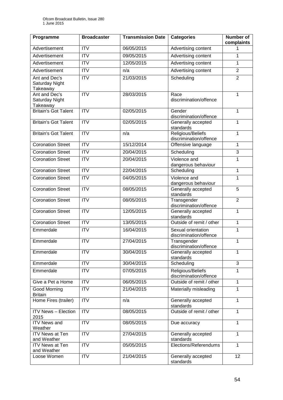| Programme                                   | <b>Broadcaster</b>      | <b>Transmission Date</b> | <b>Categories</b>                            | <b>Number of</b><br>complaints |
|---------------------------------------------|-------------------------|--------------------------|----------------------------------------------|--------------------------------|
| Advertisement                               | <b>ITV</b>              | 06/05/2015               | Advertising content                          | 1                              |
| Advertisement                               | $\overline{ITV}$        | 09/05/2015               | Advertising content                          | 1                              |
| Advertisement                               | <b>ITV</b>              | 12/05/2015               | Advertising content                          | 1                              |
| Advertisement                               | <b>ITV</b>              | n/a                      | Advertising content                          | $\overline{2}$                 |
| Ant and Dec's<br>Saturday Night<br>Takeaway | $\overline{ITV}$        | 21/03/2015               | Scheduling                                   | $\overline{2}$                 |
| Ant and Dec's<br>Saturday Night<br>Takeaway | $\overline{\text{IV}}$  | 28/03/2015               | Race<br>discrimination/offence               | 1                              |
| <b>Britain's Got Talent</b>                 | <b>ITV</b>              | 02/05/2015               | Gender<br>discrimination/offence             | $\mathbf{1}$                   |
| <b>Britain's Got Talent</b>                 | <b>ITV</b>              | 02/05/2015               | Generally accepted<br>standards              | $\mathbf{1}$                   |
| <b>Britain's Got Talent</b>                 | <b>ITV</b>              | n/a                      | Religious/Beliefs<br>discrimination/offence  | $\mathbf{1}$                   |
| <b>Coronation Street</b>                    | $\overline{IV}$         | 15/12/2014               | Offensive language                           | 1                              |
| <b>Coronation Street</b>                    | <b>ITV</b>              | 20/04/2015               | Scheduling                                   | 3                              |
| <b>Coronation Street</b>                    | $\overline{ITV}$        | 20/04/2015               | Violence and<br>dangerous behaviour          | $\mathbf{1}$                   |
| <b>Coronation Street</b>                    | <b>ITV</b>              | 22/04/2015               | Scheduling                                   | $\mathbf{1}$                   |
| <b>Coronation Street</b>                    | $\overline{\text{IV}}$  | 04/05/2015               | Violence and<br>dangerous behaviour          | 1                              |
| <b>Coronation Street</b>                    | <b>ITV</b>              | 08/05/2015               | Generally accepted<br>standards              | 5                              |
| <b>Coronation Street</b>                    | $\overline{ITV}$        | 08/05/2015               | Transgender<br>discrimination/offence        | $\overline{2}$                 |
| <b>Coronation Street</b>                    | $\overline{IV}$         | 12/05/2015               | Generally accepted<br>standards              | $\mathbf{1}$                   |
| <b>Coronation Street</b>                    | <b>ITV</b>              | 13/05/2015               | Outside of remit / other                     | $\mathbf{1}$                   |
| Emmerdale                                   | $\overline{\text{ITV}}$ | 16/04/2015               | Sexual orientation<br>discrimination/offence | 1                              |
| Emmerdale                                   | <b>ITV</b>              | 27/04/2015               | Transgender<br>discrimination/offence        | $\mathbf 1$                    |
| Emmerdale                                   | <b>ITV</b>              | 30/04/2015               | Generally accepted<br>standards              | 1                              |
| Emmerdale                                   | $\overline{IV}$         | 30/04/2015               | Scheduling                                   | 3                              |
| Emmerdale                                   | <b>ITV</b>              | 07/05/2015               | Religious/Beliefs<br>discrimination/offence  | 1                              |
| Give a Pet a Home                           | <b>ITV</b>              | 06/05/2015               | Outside of remit / other                     | $\mathbf{1}$                   |
| Good Morning<br><b>Britain</b>              | <b>ITV</b>              | 21/04/2015               | Materially misleading                        | $\mathbf{1}$                   |
| Home Fires (trailer)                        | $\overline{ITV}$        | n/a                      | Generally accepted<br>standards              | $\overline{1}$                 |
| <b>ITV News - Election</b><br>2015          | <b>ITV</b>              | 08/05/2015               | Outside of remit / other                     | $\mathbf{1}$                   |
| <b>ITV News and</b><br>Weather              | $\overline{IV}$         | 08/05/2015               | Due accuracy                                 | $\mathbf{1}$                   |
| <b>ITV News at Ten</b><br>and Weather       | $\overline{IV}$         | 27/04/2015               | Generally accepted<br>standards              | $\mathbf{1}$                   |
| <b>ITV News at Ten</b><br>and Weather       | <b>ITV</b>              | 05/05/2015               | Elections/Referendums                        | $\mathbf{1}$                   |
| Loose Women                                 | <b>ITV</b>              | 21/04/2015               | Generally accepted<br>standards              | 12                             |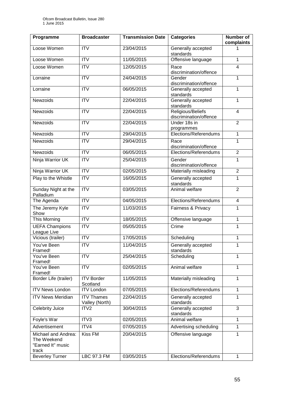| Programme                                                        | <b>Broadcaster</b>                  | <b>Transmission Date</b> | <b>Categories</b>                           | Number of<br>complaints |
|------------------------------------------------------------------|-------------------------------------|--------------------------|---------------------------------------------|-------------------------|
| Loose Women                                                      | <b>ITV</b>                          | 23/04/2015               | Generally accepted<br>standards             | 1                       |
| Loose Women                                                      | <b>ITV</b>                          | 11/05/2015               | Offensive language                          | $\mathbf{1}$            |
| Loose Women                                                      | <b>ITV</b>                          | 12/05/2015               | Race<br>discrimination/offence              | 4                       |
| Lorraine                                                         | <b>ITV</b>                          | 24/04/2015               | Gender<br>discrimination/offence            | 1                       |
| Lorraine                                                         | $\overline{\mathsf{ITV}}$           | 06/05/2015               | Generally accepted<br>standards             | $\mathbf{1}$            |
| Newzoids                                                         | <b>ITV</b>                          | 22/04/2015               | Generally accepted<br>standards             | $\mathbf{1}$            |
| Newzoids                                                         | <b>ITV</b>                          | 22/04/2015               | Religious/Beliefs<br>discrimination/offence | $\overline{4}$          |
| <b>Newzoids</b>                                                  | $\overline{\mathsf{ITV}}$           | 22/04/2015               | Under 18s in<br>programmes                  | $\overline{2}$          |
| Newzoids                                                         | <b>ITV</b>                          | 29/04/2015               | Elections/Referendums                       | $\mathbf{1}$            |
| <b>Newzoids</b>                                                  | $\overline{\mathsf{ITV}}$           | 29/04/2015               | Race<br>discrimination/offence              | $\mathbf{1}$            |
| <b>Newzoids</b>                                                  | $\overline{ITV}$                    | 06/05/2015               | Elections/Referendums                       | $\overline{2}$          |
| Ninja Warrior UK                                                 | <b>ITV</b>                          | 25/04/2015               | Gender<br>discrimination/offence            | $\mathbf{1}$            |
| Ninja Warrior UK                                                 | ITV                                 | 02/05/2015               | Materially misleading                       | $\overline{2}$          |
| Play to the Whistle                                              | $\overline{\text{IV}}$              | 16/05/2015               | Generally accepted<br>standards             | 1                       |
| Sunday Night at the<br>Palladium                                 | <b>ITV</b>                          | 03/05/2015               | Animal welfare                              | $\overline{2}$          |
| The Agenda                                                       | <b>ITV</b>                          | 04/05/2015               | Elections/Referendums                       | 4                       |
| The Jeremy Kyle<br>Show                                          | <b>ITV</b>                          | 11/03/2015               | Fairness & Privacy                          | 1                       |
| This Morning                                                     | <b>ITV</b>                          | 18/05/2015               | Offensive language                          | $\mathbf{1}$            |
| <b>UEFA Champions</b><br>League Live                             | $\overline{\text{ITV}}$             | 05/05/2015               | Crime                                       | 1                       |
| Vicious (trailer)                                                | <b>ITV</b>                          | 17/05/2015               | Scheduling                                  | 1                       |
| You've Been<br>Framed!                                           | <b>ITV</b>                          | 11/04/2015               | Generally accepted<br>standards             | 1                       |
| You've Been<br>Framed!                                           | <b>ITV</b>                          | 25/04/2015               | Scheduling                                  | $\mathbf{1}$            |
| You've Been<br>Framed!                                           | <b>ITV</b>                          | 02/05/2015               | Animal welfare                              | $\mathbf{1}$            |
| Border Life (trailer)                                            | <b>ITV Border</b><br>Scotland       | 11/05/2015               | Materially misleading                       | $\mathbf{1}$            |
| <b>ITV News London</b>                                           | <b>ITV London</b>                   | 07/05/2015               | Elections/Referendums                       | $\mathbf{1}$            |
| <b>ITV News Meridian</b>                                         | <b>ITV Thames</b><br>Valley (North) | 22/04/2015               | Generally accepted<br>standards             | 1                       |
| <b>Celebrity Juice</b>                                           | ITV <sub>2</sub>                    | 30/04/2015               | Generally accepted<br>standards             | 3                       |
| Foyle's War                                                      | ITV3                                | 02/05/2015               | Animal welfare                              | 1                       |
| Advertisement                                                    | ITV4                                | 07/05/2015               | Advertising scheduling                      | $\mathbf{1}$            |
| Michael and Andrea:<br>The Weekend<br>"Earned It" music<br>track | Kiss FM                             | 20/04/2015               | Offensive language                          | $\mathbf{1}$            |
| <b>Beverley Turner</b>                                           | LBC 97.3 FM                         | 03/05/2015               | Elections/Referendums                       | 1                       |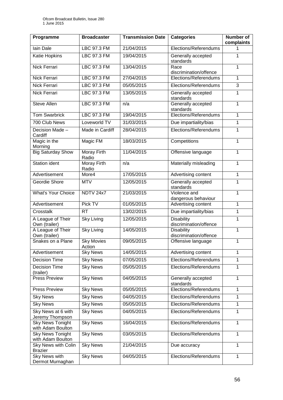| Programme                                    | <b>Broadcaster</b>          | <b>Transmission Date</b> | <b>Categories</b>                           | Number of<br>complaints |
|----------------------------------------------|-----------------------------|--------------------------|---------------------------------------------|-------------------------|
| lain Dale                                    | LBC 97.3 FM                 | 21/04/2015               | Elections/Referendums                       | 1                       |
| Katie Hopkins                                | LBC 97.3 FM                 | 19/04/2015               | Generally accepted<br>standards             | 1                       |
| Nick Ferrari                                 | <b>LBC 97.3 FM</b>          | 13/04/2015               | Race<br>discrimination/offence              | 1                       |
| Nick Ferrari                                 | LBC 97.3 FM                 | 27/04/2015               | Elections/Referendums                       | $\mathbf{1}$            |
| Nick Ferrari                                 | LBC 97.3 FM                 | 05/05/2015               | Elections/Referendums                       | $\overline{3}$          |
| Nick Ferrari                                 | LBC 97.3 FM                 | 13/05/2015               | Generally accepted<br>standards             | 1                       |
| <b>Steve Allen</b>                           | <b>LBC 97.3 FM</b>          | n/a                      | Generally accepted<br>standards             | $\mathbf{1}$            |
| <b>Tom Swarbrick</b>                         | LBC 97.3 FM                 | 19/04/2015               | Elections/Referendums                       | $\mathbf{1}$            |
| 700 Club News                                | Loveworld TV                | 31/03/2015               | Due impartiality/bias                       | $\overline{1}$          |
| Decision Made -<br>Cardiff                   | Made in Cardiff             | 28/04/2015               | Elections/Referendums                       | 1                       |
| Magic in the<br>Morning                      | <b>Magic FM</b>             | 18/03/2015               | Competitions                                | $\mathbf{1}$            |
| <b>Big Saturday Show</b>                     | <b>Moray Firth</b><br>Radio | 11/04/2015               | Offensive language                          | 1                       |
| <b>Station ident</b>                         | Moray Firth<br>Radio        | n/a                      | Materially misleading                       | 1                       |
| Advertisement                                | More4                       | 17/05/2015               | Advertising content                         | $\mathbf{1}$            |
| Geordie Shore                                | <b>MTV</b>                  | 12/05/2015               | Generally accepted<br>standards             | 1                       |
| <b>What's Your Choice</b>                    | NDTV 24x7                   | 21/03/2015               | Violence and<br>dangerous behaviour         | $\overline{1}$          |
| Advertisement                                | Pick TV                     | 01/05/2015               | Advertising content                         | $\mathbf{1}$            |
| Crosstalk                                    | <b>RT</b>                   | 13/02/2015               | Due impartiality/bias                       | $\mathbf{1}$            |
| A League of Their<br>Own (trailer)           | <b>Sky Living</b>           | 12/05/2015               | <b>Disability</b><br>discrimination/offence | 1                       |
| A League of Their<br>Own (trailer)           | <b>Sky Living</b>           | 14/05/2015               | <b>Disability</b><br>discrimination/offence | 1                       |
| Snakes on a Plane                            | <b>Sky Movies</b><br>Action | 09/05/2015               | Offensive language                          | 1                       |
| Advertisement                                | <b>Sky News</b>             | 14/05/2015               | Advertising content                         | 1                       |
| <b>Decision Time</b>                         | <b>Sky News</b>             | 07/05/2015               | Elections/Referendums                       | 1                       |
| <b>Decision Time</b><br>(trailer)            | <b>Sky News</b>             | 05/05/2015               | Elections/Referendums                       | $\mathbf{1}$            |
| Press Preview                                | <b>Sky News</b>             | 04/05/2015               | Generally accepted<br>standards             | 1                       |
| Press Preview                                | <b>Sky News</b>             | 05/05/2015               | Elections/Referendums                       | 1                       |
| <b>Sky News</b>                              | <b>Sky News</b>             | 04/05/2015               | Elections/Referendums                       | 1                       |
| <b>Sky News</b>                              | <b>Sky News</b>             | 05/05/2015               | Elections/Referendums                       | $\mathbf{1}$            |
| Sky News at 6 with<br>Jeremy Thompson        | <b>Sky News</b>             | 04/05/2015               | Elections/Referendums                       | 1                       |
| <b>Sky News Tonight</b><br>with Adam Boulton | <b>Sky News</b>             | 16/04/2015               | Elections/Referendums                       | $\mathbf{1}$            |
| <b>Sky News Tonight</b><br>with Adam Boulton | <b>Sky News</b>             | 03/05/2015               | Elections/Referendums                       | $\mathbf{1}$            |
| Sky News with Colin<br><b>Brazier</b>        | <b>Sky News</b>             | 21/04/2015               | Due accuracy                                | $\mathbf{1}$            |
| <b>Sky News with</b><br>Dermot Murnaghan     | <b>Sky News</b>             | 04/05/2015               | Elections/Referendums                       | $\mathbf{1}$            |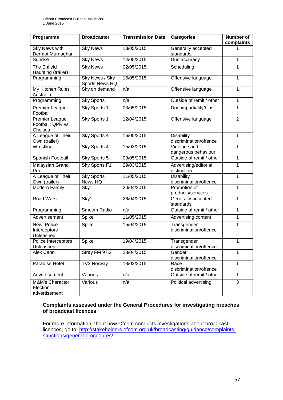| Programme                                            | <b>Broadcaster</b>               | <b>Transmission Date</b> | <b>Categories</b>                           | Number of<br>complaints |
|------------------------------------------------------|----------------------------------|--------------------------|---------------------------------------------|-------------------------|
| Sky News with<br>Dermot Murnaghan                    | <b>Sky News</b>                  | 13/05/2015               | Generally accepted<br>standards             | 1                       |
| Sunrise                                              | <b>Sky News</b>                  | 14/05/2015               | Due accuracy                                | 1                       |
| The Enfield<br>Haunting (trailer)                    | <b>Sky News</b>                  | 02/05/2015               | Scheduling                                  | 1                       |
| Programming                                          | Sky News / Sky<br>Sports News HQ | 16/05/2015               | Offensive language                          | 1                       |
| My Kitchen Rules<br>Australia                        | Sky on demand                    | n/a                      | Offensive language                          | 1                       |
| Programming                                          | <b>Sky Sports</b>                | n/a                      | Outside of remit / other                    | $\mathbf{1}$            |
| Premier League<br>Football                           | Sky Sports 1                     | 03/05/2015               | Due impartiality/bias                       | 1                       |
| <b>Premier League</b><br>Football: QPR vs<br>Chelsea | Sky Sports 1                     | 12/04/2015               | Offensive language                          | $\overline{2}$          |
| A League of Their<br>Own (trailer)                   | Sky Sports 4                     | 16/05/2015               | <b>Disability</b><br>discrimination/offence | 1                       |
| Wrestling                                            | Sky Sports 4                     | 15/03/2015               | Violence and<br>dangerous behaviour         | 1                       |
| Spanish Football                                     | Sky Sports 5                     | 09/05/2015               | Outside of remit / other                    | $\mathbf{1}$            |
| Malaysian Grand<br>Prix                              | Sky Sports F1                    | 29/03/2015               | Advertising/editorial<br>distinction        | 1                       |
| A League of Their<br>Own (trailer)                   | Sky Sports<br>News HQ            | 11/05/2015               | <b>Disability</b><br>discrimination/offence | 1                       |
| <b>Modern Family</b>                                 | Sky1                             | 20/04/2015               | Promotion of<br>products/services           | $\mathbf{1}$            |
| <b>Road Wars</b>                                     | Sky1                             | 26/04/2015               | Generally accepted<br>standards             | 1                       |
| Programming                                          | Smooth Radio                     | n/a                      | Outside of remit / other                    | $\mathbf{1}$            |
| Advertisement                                        | Spike                            | 11/05/2015               | Advertising content                         | 1                       |
| New: Police<br>Interceptors<br>Unleashed             | Spike                            | 15/04/2015               | Transgender<br>discrimination/offence       | 1                       |
| Police Interceptors<br>Unleashed                     | Spike                            | 19/04/2015               | Transgender<br>discrimination/offence       | 1                       |
| Alex Cann                                            | Stray FM 97.2                    | 28/04/2015               | Gender<br>discrimination/offence            | $\mathbf{1}$            |
| Paradise Hotel                                       | TV3 Norway                       | 18/03/2015               | Race<br>discrimination/offence              | $\mathbf{1}$            |
| Advertisement                                        | Various                          | n/a                      | Outside of remit / other                    | $\mathbf{1}$            |
| M&M's Character<br>Election<br>advertisement         | Various                          | n/a                      | Political advertising                       | 3                       |

# **Complaints assessed under the General Procedures for investigating breaches of broadcast licences**

For more information about how Ofcom conducts investigations about broadcast licences, go to: [http://stakeholders.ofcom.org.uk/broadcasting/guidance/complaints](http://stakeholders.ofcom.org.uk/broadcasting/guidance/complaints-sanctions/general-procedures/)[sanctions/general-procedures/.](http://stakeholders.ofcom.org.uk/broadcasting/guidance/complaints-sanctions/general-procedures/)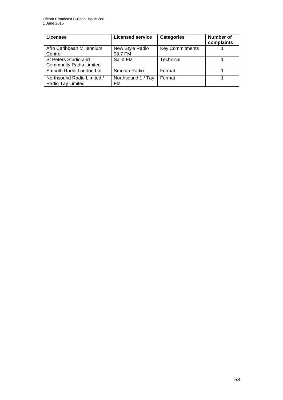| Licensee                                               | <b>Licensed service</b>    | <b>Categories</b>      | <b>Number of</b><br>complaints |
|--------------------------------------------------------|----------------------------|------------------------|--------------------------------|
| Afro Caribbean Millennium<br>Centre                    | New Style Radio<br>98.7 FM | <b>Key Commitments</b> |                                |
| St Peters Studio and<br><b>Community Radio Limited</b> | Saint FM                   | Technical              |                                |
| Smooth Radio London Ltd                                | Smooth Radio               | Format                 |                                |
| Northsound Radio Limited /<br>Radio Tay Limited        | Northsound 1 / Tay<br>FM   | Format                 |                                |